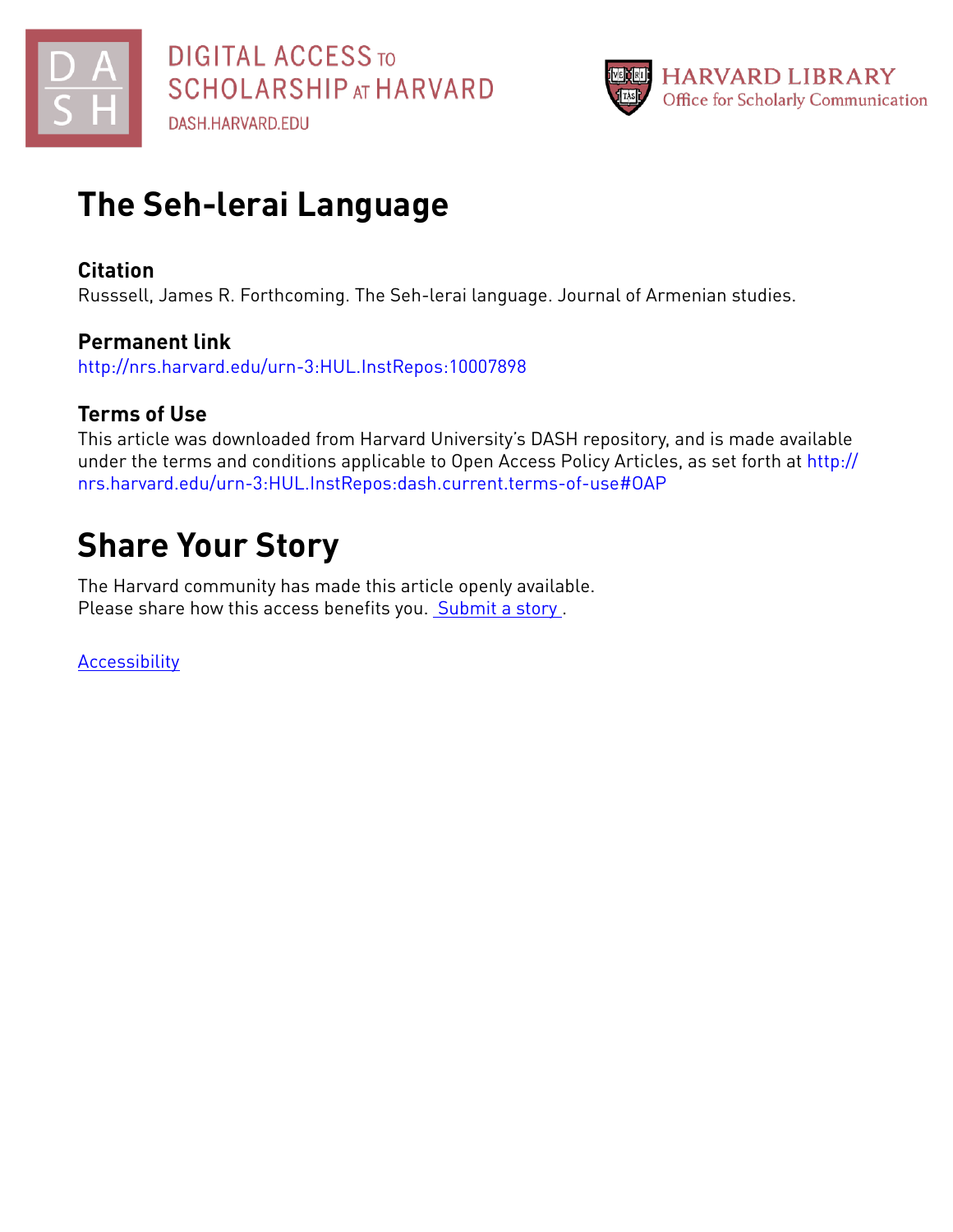



## **The Seh-lerai Language**

### **Citation**

Russsell, James R. Forthcoming. The Seh-lerai language. Journal of Armenian studies.

## **Permanent link**

<http://nrs.harvard.edu/urn-3:HUL.InstRepos:10007898>

## **Terms of Use**

This article was downloaded from Harvard University's DASH repository, and is made available under the terms and conditions applicable to Open Access Policy Articles, as set forth at [http://](http://nrs.harvard.edu/urn-3:HUL.InstRepos:dash.current.terms-of-use#OAP) [nrs.harvard.edu/urn-3:HUL.InstRepos:dash.current.terms-of-use#OAP](http://nrs.harvard.edu/urn-3:HUL.InstRepos:dash.current.terms-of-use#OAP)

# **Share Your Story**

The Harvard community has made this article openly available. Please share how this access benefits you. [Submit](http://osc.hul.harvard.edu/dash/open-access-feedback?handle=&title=The%20Seh-lerai%20Language&community=1/1&collection=1/2&owningCollection1/2&harvardAuthors=e52dbe48d0922932f9aca2dde1aa5d5d&departmentNear%20Eastern%20Languages%20and%20Civilizations) a story.

**[Accessibility](https://dash.harvard.edu/pages/accessibility)**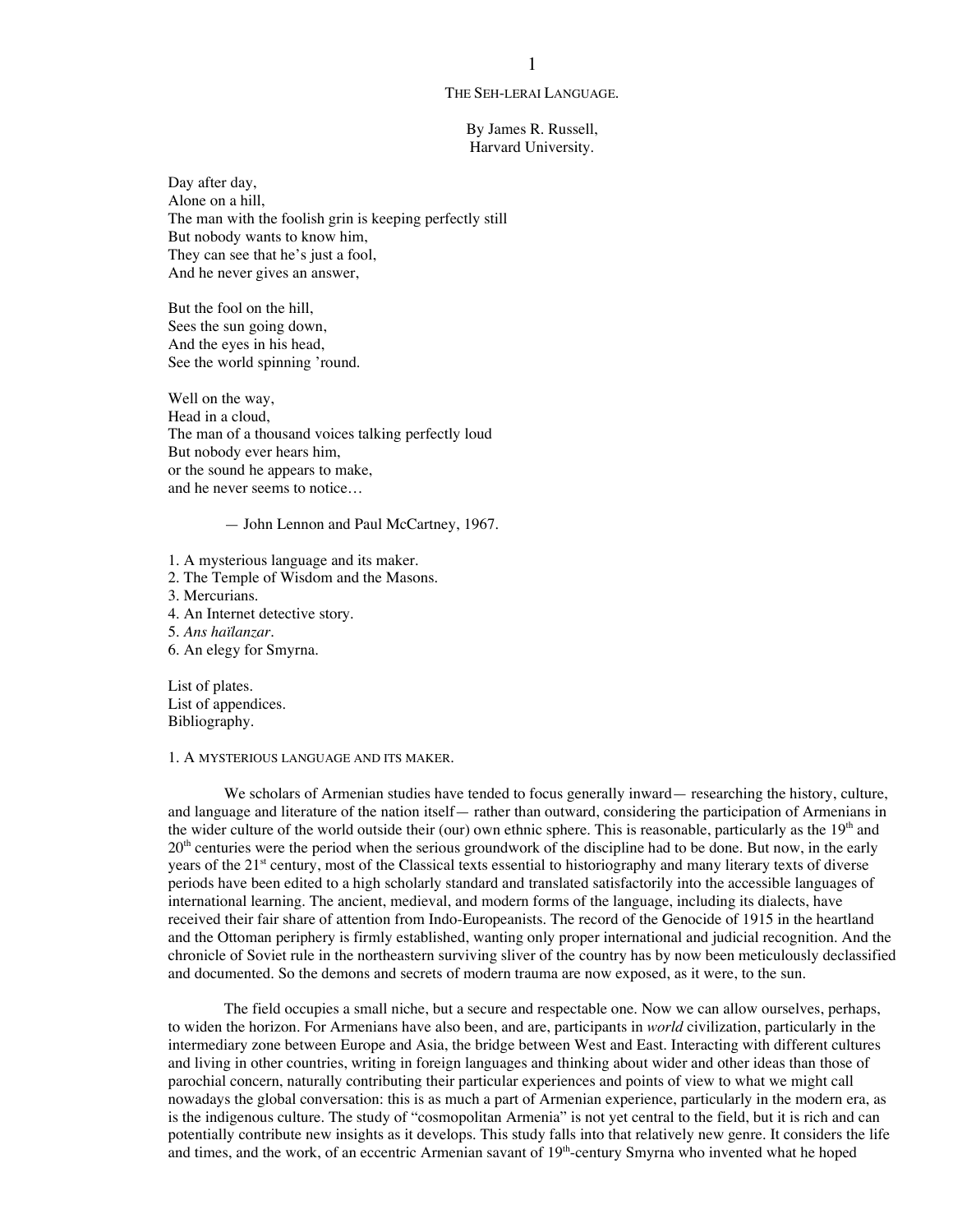#### THE SEH-LERAI LANGUAGE.

By James R. Russell, Harvard University.

Day after day, Alone on a hill, The man with the foolish grin is keeping perfectly still But nobody wants to know him, They can see that he's just a fool, And he never gives an answer,

But the fool on the hill, Sees the sun going down, And the eyes in his head, See the world spinning 'round.

Well on the way, Head in a cloud, The man of a thousand voices talking perfectly loud But nobody ever hears him, or the sound he appears to make, and he never seems to notice…

— John Lennon and Paul McCartney, 1967.

- 1. A mysterious language and its maker.
- 2. The Temple of Wisdom and the Masons.
- 3. Mercurians.
- 4. An Internet detective story.

5. *Ans haïlanzar*.

6. An elegy for Smyrna.

List of plates. List of appendices. Bibliography.

#### 1. A MYSTERIOUS LANGUAGE AND ITS MAKER.

We scholars of Armenian studies have tended to focus generally inward— researching the history, culture, and language and literature of the nation itself— rather than outward, considering the participation of Armenians in the wider culture of the world outside their (our) own ethnic sphere. This is reasonable, particularly as the  $19<sup>th</sup>$  and  $20<sup>th</sup>$  centuries were the period when the serious groundwork of the discipline had to be done. But now, in the early years of the 21<sup>st</sup> century, most of the Classical texts essential to historiography and many literary texts of diverse periods have been edited to a high scholarly standard and translated satisfactorily into the accessible languages of international learning. The ancient, medieval, and modern forms of the language, including its dialects, have received their fair share of attention from Indo-Europeanists. The record of the Genocide of 1915 in the heartland and the Ottoman periphery is firmly established, wanting only proper international and judicial recognition. And the chronicle of Soviet rule in the northeastern surviving sliver of the country has by now been meticulously declassified and documented. So the demons and secrets of modern trauma are now exposed, as it were, to the sun.

The field occupies a small niche, but a secure and respectable one. Now we can allow ourselves, perhaps, to widen the horizon. For Armenians have also been, and are, participants in *world* civilization, particularly in the intermediary zone between Europe and Asia, the bridge between West and East. Interacting with different cultures and living in other countries, writing in foreign languages and thinking about wider and other ideas than those of parochial concern, naturally contributing their particular experiences and points of view to what we might call nowadays the global conversation: this is as much a part of Armenian experience, particularly in the modern era, as is the indigenous culture. The study of "cosmopolitan Armenia" is not yet central to the field, but it is rich and can potentially contribute new insights as it develops. This study falls into that relatively new genre. It considers the life and times, and the work, of an eccentric Armenian savant of 19<sup>th</sup>-century Smyrna who invented what he hoped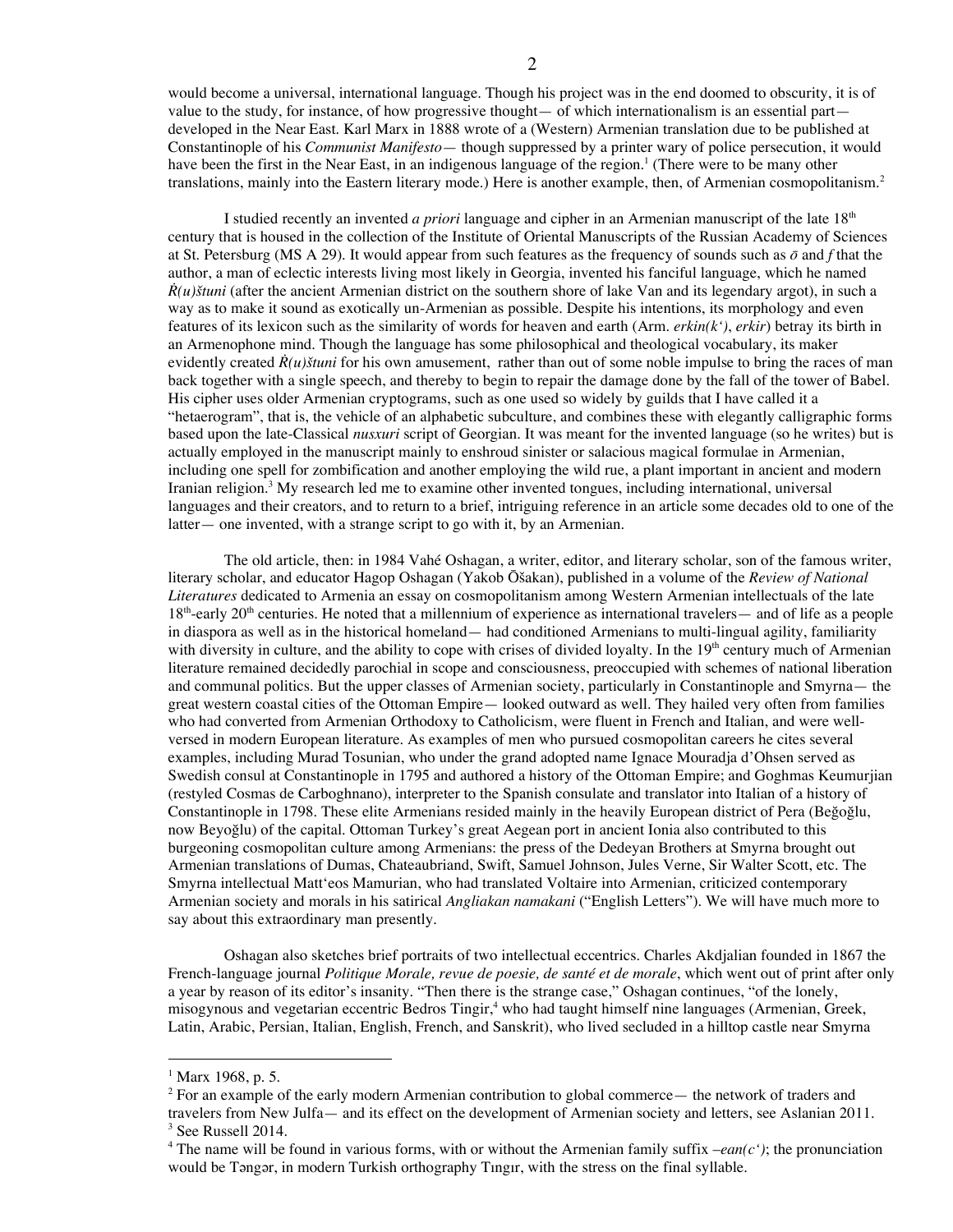would become a universal, international language. Though his project was in the end doomed to obscurity, it is of value to the study, for instance, of how progressive thought— of which internationalism is an essential part developed in the Near East. Karl Marx in 1888 wrote of a (Western) Armenian translation due to be published at Constantinople of his *Communist Manifesto*— though suppressed by a printer wary of police persecution, it would have been the first in the Near East, in an indigenous language of the region.<sup>1</sup> (There were to be many other translations, mainly into the Eastern literary mode.) Here is another example, then, of Armenian cosmopolitanism.<sup>2</sup>

I studied recently an invented *a priori* language and cipher in an Armenian manuscript of the late 18<sup>th</sup> century that is housed in the collection of the Institute of Oriental Manuscripts of the Russian Academy of Sciences at St. Petersburg (MS A 29). It would appear from such features as the frequency of sounds such as *ō* and *f* that the author, a man of eclectic interests living most likely in Georgia, invented his fanciful language, which he named  $\dot{R}(u)$ *štuni* (after the ancient Armenian district on the southern shore of lake Van and its legendary argot), in such a way as to make it sound as exotically un-Armenian as possible. Despite his intentions, its morphology and even features of its lexicon such as the similarity of words for heaven and earth (Arm. *erkin(k')*, *erkir*) betray its birth in an Armenophone mind. Though the language has some philosophical and theological vocabulary, its maker evidently created  $\hat{R}(u)$ <sup>*s* $t$ uni</sup> for his own amusement, rather than out of some noble impulse to bring the races of man back together with a single speech, and thereby to begin to repair the damage done by the fall of the tower of Babel. His cipher uses older Armenian cryptograms, such as one used so widely by guilds that I have called it a "hetaerogram", that is, the vehicle of an alphabetic subculture, and combines these with elegantly calligraphic forms based upon the late-Classical *nusxuri* script of Georgian. It was meant for the invented language (so he writes) but is actually employed in the manuscript mainly to enshroud sinister or salacious magical formulae in Armenian, including one spell for zombification and another employing the wild rue, a plant important in ancient and modern Iranian religion.<sup>3</sup> My research led me to examine other invented tongues, including international, universal languages and their creators, and to return to a brief, intriguing reference in an article some decades old to one of the latter— one invented, with a strange script to go with it, by an Armenian.

The old article, then: in 1984 Vahé Oshagan, a writer, editor, and literary scholar, son of the famous writer, literary scholar, and educator Hagop Oshagan (Yakob Ōšakan), published in a volume of the *Review of National Literatures* dedicated to Armenia an essay on cosmopolitanism among Western Armenian intellectuals of the late 18<sup>th</sup>-early 20<sup>th</sup> centuries. He noted that a millennium of experience as international travelers— and of life as a people in diaspora as well as in the historical homeland— had conditioned Armenians to multi-lingual agility, familiarity with diversity in culture, and the ability to cope with crises of divided loyalty. In the  $19<sup>th</sup>$  century much of Armenian literature remained decidedly parochial in scope and consciousness, preoccupied with schemes of national liberation and communal politics. But the upper classes of Armenian society, particularly in Constantinople and Smyrna— the great western coastal cities of the Ottoman Empire— looked outward as well. They hailed very often from families who had converted from Armenian Orthodoxy to Catholicism, were fluent in French and Italian, and were wellversed in modern European literature. As examples of men who pursued cosmopolitan careers he cites several examples, including Murad Tosunian, who under the grand adopted name Ignace Mouradja d'Ohsen served as Swedish consul at Constantinople in 1795 and authored a history of the Ottoman Empire; and Goghmas Keumurjian (restyled Cosmas de Carboghnano), interpreter to the Spanish consulate and translator into Italian of a history of Constantinople in 1798. These elite Armenians resided mainly in the heavily European district of Pera (Beğoğlu, now Beyoğlu) of the capital. Ottoman Turkey's great Aegean port in ancient Ionia also contributed to this burgeoning cosmopolitan culture among Armenians: the press of the Dedeyan Brothers at Smyrna brought out Armenian translations of Dumas, Chateaubriand, Swift, Samuel Johnson, Jules Verne, Sir Walter Scott, etc. The Smyrna intellectual Matt'eos Mamurian, who had translated Voltaire into Armenian, criticized contemporary Armenian society and morals in his satirical *Angliakan namakani* ("English Letters"). We will have much more to say about this extraordinary man presently.

Oshagan also sketches brief portraits of two intellectual eccentrics. Charles Akdjalian founded in 1867 the French-language journal *Politique Morale, revue de poesie, de santé et de morale*, which went out of print after only a year by reason of its editor's insanity. "Then there is the strange case," Oshagan continues, "of the lonely, misogynous and vegetarian eccentric Bedros Tingir, <sup>4</sup> who had taught himself nine languages (Armenian, Greek, Latin, Arabic, Persian, Italian, English, French, and Sanskrit), who lived secluded in a hilltop castle near Smyrna

 $1$  Marx 1968, p. 5.

<sup>&</sup>lt;sup>2</sup> For an example of the early modern Armenian contribution to global commerce— the network of traders and travelers from New Julfa— and its effect on the development of Armenian society and letters, see Aslanian 2011.  $3$  See Russell 2014.

<sup>&</sup>lt;sup>4</sup> The name will be found in various forms, with or without the Armenian family suffix  $-ean(c')$ ; the pronunciation would be Tangar, in modern Turkish orthography Tingir, with the stress on the final syllable.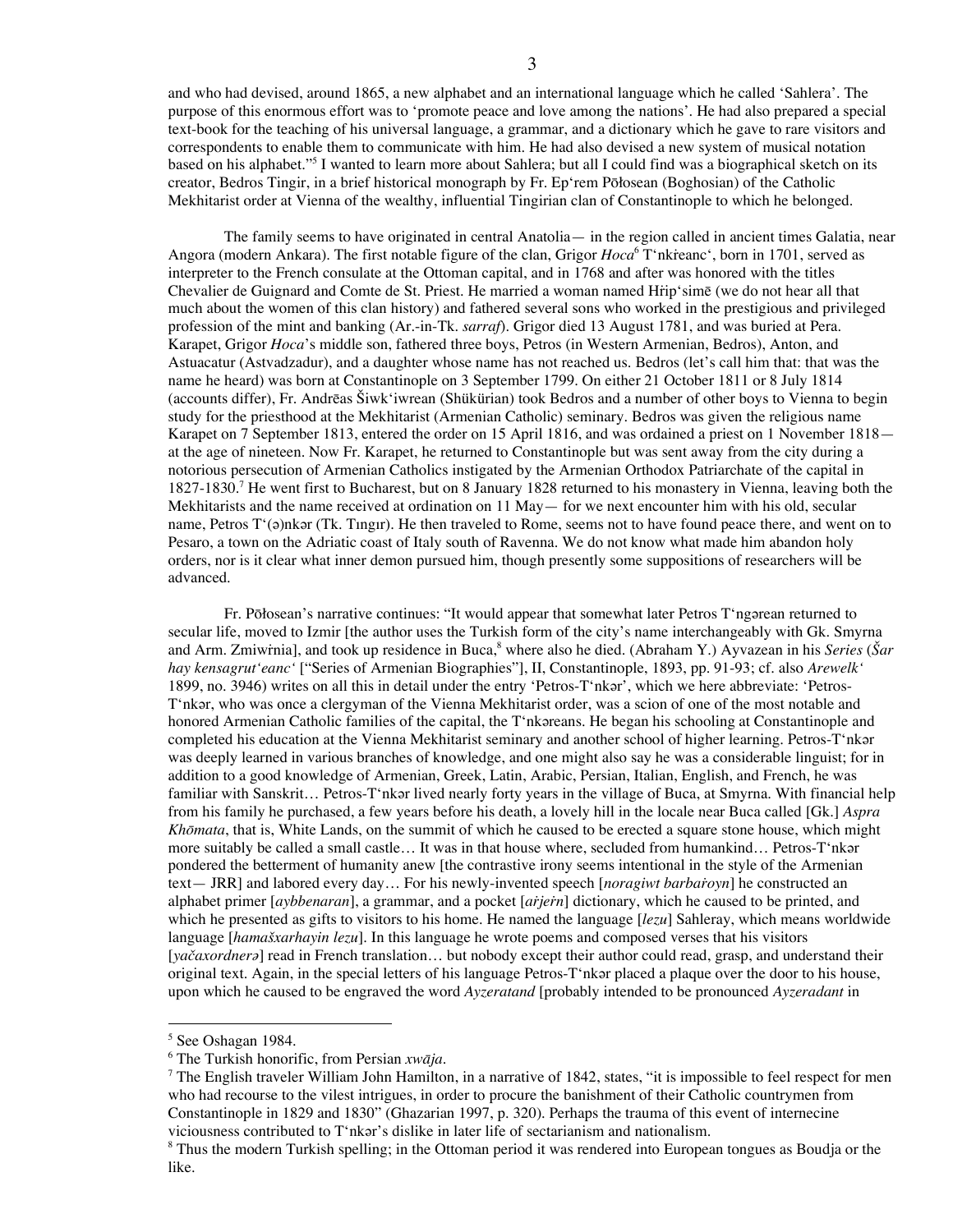and who had devised, around 1865, a new alphabet and an international language which he called 'Sahlera'. The purpose of this enormous effort was to 'promote peace and love among the nations'. He had also prepared a special text-book for the teaching of his universal language, a grammar, and a dictionary which he gave to rare visitors and correspondents to enable them to communicate with him. He had also devised a new system of musical notation based on his alphabet."5 I wanted to learn more about Sahlera; but all I could find was a biographical sketch on its creator, Bedros Tingir, in a brief historical monograph by Fr. Ep'rem Pōłosean (Boghosian) of the Catholic Mekhitarist order at Vienna of the wealthy, influential Tingirian clan of Constantinople to which he belonged.

The family seems to have originated in central Anatolia— in the region called in ancient times Galatia, near Angora (modern Ankara). The first notable figure of the clan, Grigor *Hoca*<sup>6</sup> T'nkieanc', born in 1701, served as interpreter to the French consulate at the Ottoman capital, and in 1768 and after was honored with the titles Chevalier de Guignard and Comte de St. Priest. He married a woman named Hṙip'simē (we do not hear all that much about the women of this clan history) and fathered several sons who worked in the prestigious and privileged profession of the mint and banking (Ar.-in-Tk. *sarraf*). Grigor died 13 August 1781, and was buried at Pera. Karapet, Grigor *Hoca*'s middle son, fathered three boys, Petros (in Western Armenian, Bedros), Anton, and Astuacatur (Astvadzadur), and a daughter whose name has not reached us. Bedros (let's call him that: that was the name he heard) was born at Constantinople on 3 September 1799. On either 21 October 1811 or 8 July 1814 (accounts differ), Fr. Andrēas Šiwk'iwrean (Shükürian) took Bedros and a number of other boys to Vienna to begin study for the priesthood at the Mekhitarist (Armenian Catholic) seminary. Bedros was given the religious name Karapet on 7 September 1813, entered the order on 15 April 1816, and was ordained a priest on 1 November 1818 at the age of nineteen. Now Fr. Karapet, he returned to Constantinople but was sent away from the city during a notorious persecution of Armenian Catholics instigated by the Armenian Orthodox Patriarchate of the capital in 1827-1830.<sup>7</sup> He went first to Bucharest, but on 8 January 1828 returned to his monastery in Vienna, leaving both the Mekhitarists and the name received at ordination on 11 May — for we next encounter him with his old, secular name, Petros T'(a)nkǝr (Tk. Tingir). He then traveled to Rome, seems not to have found peace there, and went on to Pesaro, a town on the Adriatic coast of Italy south of Ravenna. We do not know what made him abandon holy orders, nor is it clear what inner demon pursued him, though presently some suppositions of researchers will be advanced.

Fr. Pōłosean's narrative continues: "It would appear that somewhat later Petros T'ngǝrean returned to secular life, moved to Izmir [the author uses the Turkish form of the city's name interchangeably with Gk. Smyrna and Arm. Zmiwṙnia], and took up residence in Buca, <sup>8</sup> where also he died. (Abraham Y.) Ayvazean in his *Series* (*Šar hay kensagrut'eanc'* ["Series of Armenian Biographies"], II, Constantinople, 1893, pp. 91-93; cf. also *Arewelk'* 1899, no. 3946) writes on all this in detail under the entry 'Petros-T'nkǝr', which we here abbreviate: 'Petros-T'nkǝr, who was once a clergyman of the Vienna Mekhitarist order, was a scion of one of the most notable and honored Armenian Catholic families of the capital, the T'nkǝreans. He began his schooling at Constantinople and completed his education at the Vienna Mekhitarist seminary and another school of higher learning. Petros-T'nkǝr was deeply learned in various branches of knowledge, and one might also say he was a considerable linguist; for in addition to a good knowledge of Armenian, Greek, Latin, Arabic, Persian, Italian, English, and French, he was familiar with Sanskrit... Petros-T'nkər lived nearly forty years in the village of Buca, at Smyrna. With financial help from his family he purchased, a few years before his death, a lovely hill in the locale near Buca called [Gk.] *Aspra Khōmata*, that is, White Lands, on the summit of which he caused to be erected a square stone house, which might more suitably be called a small castle… It was in that house where, secluded from humankind… Petros-T'nkǝr pondered the betterment of humanity anew [the contrastive irony seems intentional in the style of the Armenian text— JRR] and labored every day… For his newly-invented speech [*noragiwt barbaṙoyn*] he constructed an alphabet primer [*aybbenaran*], a grammar, and a pocket [*aṙjeṙn*] dictionary, which he caused to be printed, and which he presented as gifts to visitors to his home. He named the language [*lezu*] Sahleray, which means worldwide language [*hamašxarhayin lezu*]. In this language he wrote poems and composed verses that his visitors [*yačaxordnerǝ*] read in French translation… but nobody except their author could read, grasp, and understand their original text. Again, in the special letters of his language Petros-T'nkar placed a plaque over the door to his house, upon which he caused to be engraved the word *Ayzeratand* [probably intended to be pronounced *Ayzeradant* in

 <sup>5</sup> See Oshagan 1984.

<sup>6</sup> The Turkish honorific, from Persian *xwāja*.

 $7$  The English traveler William John Hamilton, in a narrative of 1842, states, "it is impossible to feel respect for men who had recourse to the vilest intrigues, in order to procure the banishment of their Catholic countrymen from Constantinople in 1829 and 1830" (Ghazarian 1997, p. 320). Perhaps the trauma of this event of internecine viciousness contributed to T'nkǝr's dislike in later life of sectarianism and nationalism.

<sup>&</sup>lt;sup>8</sup> Thus the modern Turkish spelling; in the Ottoman period it was rendered into European tongues as Boudja or the like.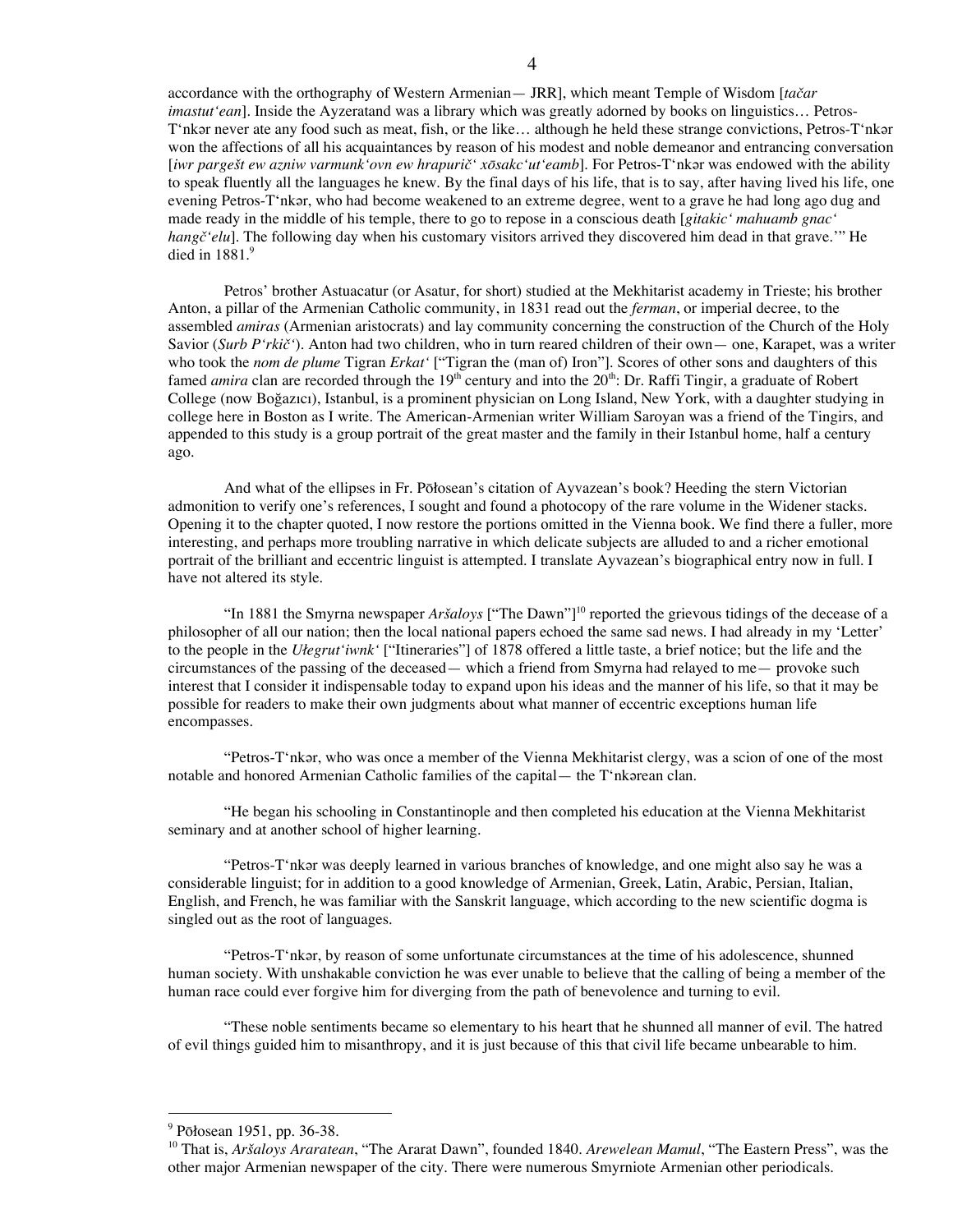accordance with the orthography of Western Armenian— JRR], which meant Temple of Wisdom [*tačar imastut'ean*]. Inside the Ayzeratand was a library which was greatly adorned by books on linguistics… Petros-T'nkǝr never ate any food such as meat, fish, or the like... although he held these strange convictions, Petros-T'nkǝr won the affections of all his acquaintances by reason of his modest and noble demeanor and entrancing conversation [*iwr pargešt ew azniw varmunk'ovn ew hrapurič' xōsakc'ut'eamb*]. For Petros-T'nkǝr was endowed with the ability to speak fluently all the languages he knew. By the final days of his life, that is to say, after having lived his life, one evening Petros-T'nkǝr, who had become weakened to an extreme degree, went to a grave he had long ago dug and made ready in the middle of his temple, there to go to repose in a conscious death [*gitakic' mahuamb gnac' hangč'elu*]. The following day when his customary visitors arrived they discovered him dead in that grave.'" He died in 1881. 9

Petros' brother Astuacatur (or Asatur, for short) studied at the Mekhitarist academy in Trieste; his brother Anton, a pillar of the Armenian Catholic community, in 1831 read out the *ferman*, or imperial decree, to the assembled *amiras* (Armenian aristocrats) and lay community concerning the construction of the Church of the Holy Savior (*Surb P'rkič'*). Anton had two children, who in turn reared children of their own— one, Karapet, was a writer who took the *nom de plume* Tigran *Erkat'* ["Tigran the (man of) Iron"]. Scores of other sons and daughters of this famed *amira* clan are recorded through the 19<sup>th</sup> century and into the 20<sup>th</sup>: Dr. Raffi Tingir, a graduate of Robert College (now Boğazıcı), Istanbul, is a prominent physician on Long Island, New York, with a daughter studying in college here in Boston as I write. The American-Armenian writer William Saroyan was a friend of the Tingirs, and appended to this study is a group portrait of the great master and the family in their Istanbul home, half a century ago.

And what of the ellipses in Fr. Pōłosean's citation of Ayvazean's book? Heeding the stern Victorian admonition to verify one's references, I sought and found a photocopy of the rare volume in the Widener stacks. Opening it to the chapter quoted, I now restore the portions omitted in the Vienna book. We find there a fuller, more interesting, and perhaps more troubling narrative in which delicate subjects are alluded to and a richer emotional portrait of the brilliant and eccentric linguist is attempted. I translate Ayvazean's biographical entry now in full. I have not altered its style.

"In 1881 the Smyrna newspaper *Aršaloys* ["The Dawn"] <sup>10</sup> reported the grievous tidings of the decease of a philosopher of all our nation; then the local national papers echoed the same sad news. I had already in my 'Letter' to the people in the *Ułegrut'iwnk'* ["Itineraries"] of 1878 offered a little taste, a brief notice; but the life and the circumstances of the passing of the deceased— which a friend from Smyrna had relayed to me— provoke such interest that I consider it indispensable today to expand upon his ideas and the manner of his life, so that it may be possible for readers to make their own judgments about what manner of eccentric exceptions human life encompasses.

"Petros-T'nkǝr, who was once a member of the Vienna Mekhitarist clergy, was a scion of one of the most notable and honored Armenian Catholic families of the capital— the T<sup>\*</sup>nkarean clan.

"He began his schooling in Constantinople and then completed his education at the Vienna Mekhitarist seminary and at another school of higher learning.

"Petros-T'nkǝr was deeply learned in various branches of knowledge, and one might also say he was a considerable linguist; for in addition to a good knowledge of Armenian, Greek, Latin, Arabic, Persian, Italian, English, and French, he was familiar with the Sanskrit language, which according to the new scientific dogma is singled out as the root of languages.

"Petros-T'nkǝr, by reason of some unfortunate circumstances at the time of his adolescence, shunned human society. With unshakable conviction he was ever unable to believe that the calling of being a member of the human race could ever forgive him for diverging from the path of benevolence and turning to evil.

"These noble sentiments became so elementary to his heart that he shunned all manner of evil. The hatred of evil things guided him to misanthropy, and it is just because of this that civil life became unbearable to him.

 $9$  Pōłosean 1951, pp. 36-38.

<sup>10</sup> That is, *Aršaloys Araratean*, "The Ararat Dawn", founded 1840. *Arewelean Mamul*, "The Eastern Press", was the other major Armenian newspaper of the city. There were numerous Smyrniote Armenian other periodicals.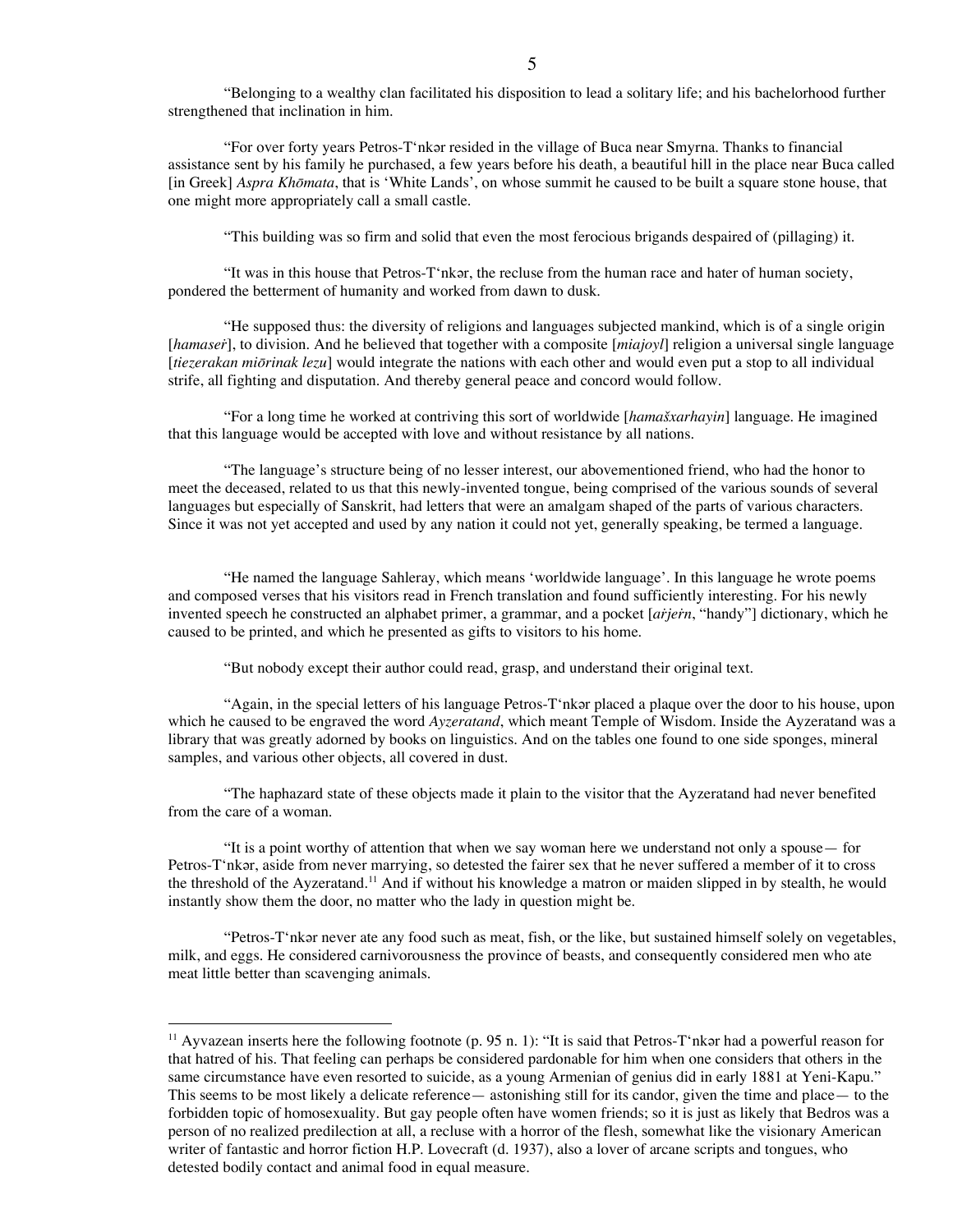"Belonging to a wealthy clan facilitated his disposition to lead a solitary life; and his bachelorhood further strengthened that inclination in him.

"For over forty years Petros-T'nkǝr resided in the village of Buca near Smyrna. Thanks to financial assistance sent by his family he purchased, a few years before his death, a beautiful hill in the place near Buca called [in Greek] *Aspra Khōmata*, that is 'White Lands', on whose summit he caused to be built a square stone house, that one might more appropriately call a small castle.

"This building was so firm and solid that even the most ferocious brigands despaired of (pillaging) it.

"It was in this house that Petros-T'nkǝr, the recluse from the human race and hater of human society, pondered the betterment of humanity and worked from dawn to dusk.

"He supposed thus: the diversity of religions and languages subjected mankind, which is of a single origin [*hamaseṙ*], to division. And he believed that together with a composite [*miajoyl*] religion a universal single language [*tiezerakan miōrinak lezu*] would integrate the nations with each other and would even put a stop to all individual strife, all fighting and disputation. And thereby general peace and concord would follow.

"For a long time he worked at contriving this sort of worldwide [*hamašxarhayin*] language. He imagined that this language would be accepted with love and without resistance by all nations.

"The language's structure being of no lesser interest, our abovementioned friend, who had the honor to meet the deceased, related to us that this newly-invented tongue, being comprised of the various sounds of several languages but especially of Sanskrit, had letters that were an amalgam shaped of the parts of various characters. Since it was not yet accepted and used by any nation it could not yet, generally speaking, be termed a language.

"He named the language Sahleray, which means 'worldwide language'. In this language he wrote poems and composed verses that his visitors read in French translation and found sufficiently interesting. For his newly invented speech he constructed an alphabet primer, a grammar, and a pocket [*aṙjeṙn*, "handy"] dictionary, which he caused to be printed, and which he presented as gifts to visitors to his home.

"But nobody except their author could read, grasp, and understand their original text.

"Again, in the special letters of his language Petros-T'nkǝr placed a plaque over the door to his house, upon which he caused to be engraved the word *Ayzeratand*, which meant Temple of Wisdom. Inside the Ayzeratand was a library that was greatly adorned by books on linguistics. And on the tables one found to one side sponges, mineral samples, and various other objects, all covered in dust.

"The haphazard state of these objects made it plain to the visitor that the Ayzeratand had never benefited from the care of a woman.

"It is a point worthy of attention that when we say woman here we understand not only a spouse— for Petros-T'nkǝr, aside from never marrying, so detested the fairer sex that he never suffered a member of it to cross the threshold of the Ayzeratand.<sup>11</sup> And if without his knowledge a matron or maiden slipped in by stealth, he would instantly show them the door, no matter who the lady in question might be.

"Petros-T'nkǝr never ate any food such as meat, fish, or the like, but sustained himself solely on vegetables, milk, and eggs. He considered carnivorousness the province of beasts, and consequently considered men who ate meat little better than scavenging animals.

<sup>&</sup>lt;sup>11</sup> Ayvazean inserts here the following footnote (p. 95 n. 1): "It is said that Petros-T nka had a powerful reason for that hatred of his. That feeling can perhaps be considered pardonable for him when one considers that others in the same circumstance have even resorted to suicide, as a young Armenian of genius did in early 1881 at Yeni-Kapu." This seems to be most likely a delicate reference— astonishing still for its candor, given the time and place— to the forbidden topic of homosexuality. But gay people often have women friends; so it is just as likely that Bedros was a person of no realized predilection at all, a recluse with a horror of the flesh, somewhat like the visionary American writer of fantastic and horror fiction H.P. Lovecraft (d. 1937), also a lover of arcane scripts and tongues, who detested bodily contact and animal food in equal measure.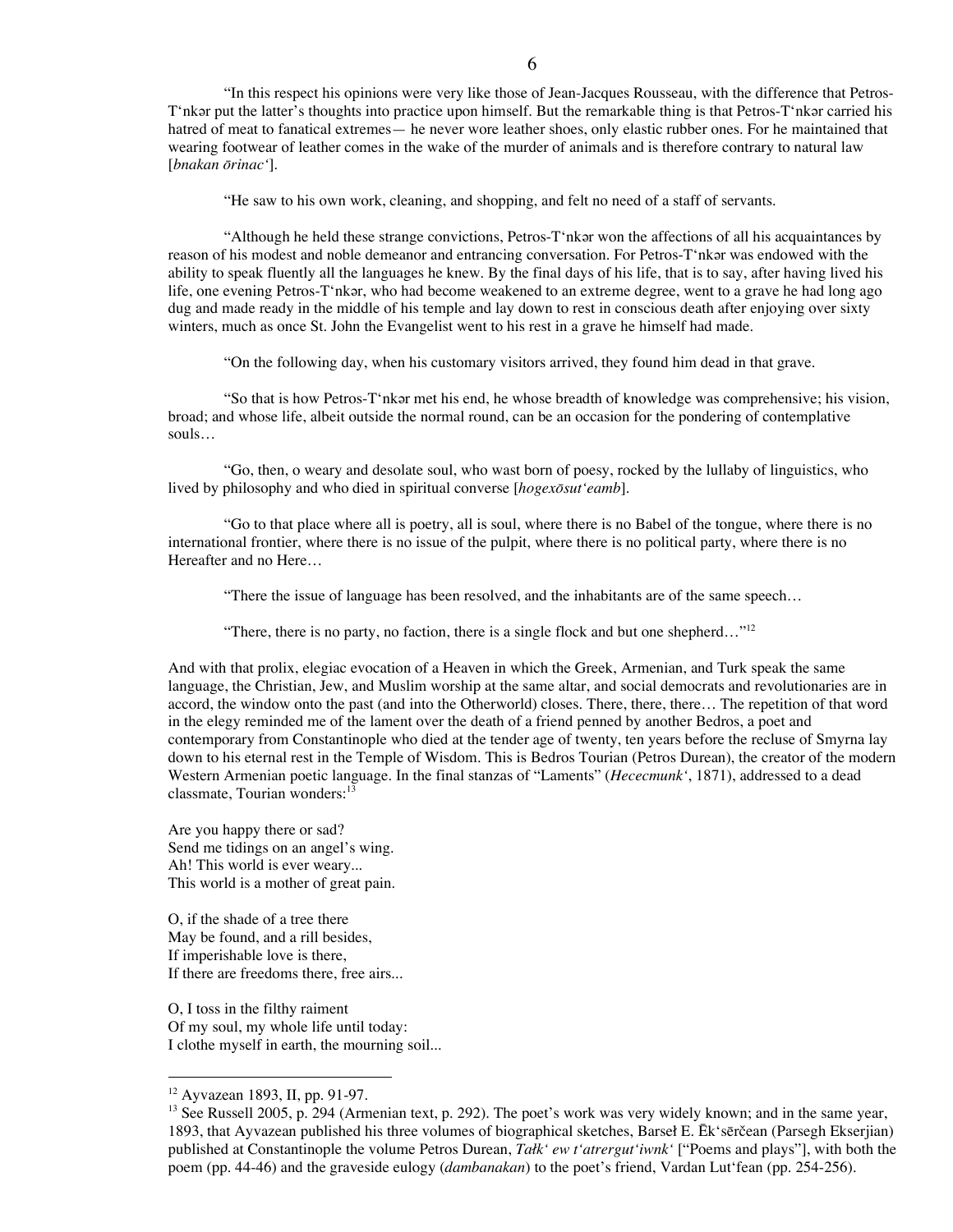"In this respect his opinions were very like those of Jean-Jacques Rousseau, with the difference that Petros-T'nkǝr put the latter's thoughts into practice upon himself. But the remarkable thing is that Petros-T'nkǝr carried his hatred of meat to fanatical extremes— he never wore leather shoes, only elastic rubber ones. For he maintained that wearing footwear of leather comes in the wake of the murder of animals and is therefore contrary to natural law [*bnakan ōrinac'*].

"He saw to his own work, cleaning, and shopping, and felt no need of a staff of servants.

"Although he held these strange convictions, Petros-T'nkǝr won the affections of all his acquaintances by reason of his modest and noble demeanor and entrancing conversation. For Petros-T'nkar was endowed with the ability to speak fluently all the languages he knew. By the final days of his life, that is to say, after having lived his life, one evening Petros-T'nkǝr, who had become weakened to an extreme degree, went to a grave he had long ago dug and made ready in the middle of his temple and lay down to rest in conscious death after enjoying over sixty winters, much as once St. John the Evangelist went to his rest in a grave he himself had made.

"On the following day, when his customary visitors arrived, they found him dead in that grave.

"So that is how Petros-T'nkǝr met his end, he whose breadth of knowledge was comprehensive; his vision, broad; and whose life, albeit outside the normal round, can be an occasion for the pondering of contemplative souls…

"Go, then, o weary and desolate soul, who wast born of poesy, rocked by the lullaby of linguistics, who lived by philosophy and who died in spiritual converse [*hogexōsut'eamb*].

"Go to that place where all is poetry, all is soul, where there is no Babel of the tongue, where there is no international frontier, where there is no issue of the pulpit, where there is no political party, where there is no Hereafter and no Here…

"There the issue of language has been resolved, and the inhabitants are of the same speech…

"There, there is no party, no faction, there is a single flock and but one shepherd..."<sup>12</sup>

And with that prolix, elegiac evocation of a Heaven in which the Greek, Armenian, and Turk speak the same language, the Christian, Jew, and Muslim worship at the same altar, and social democrats and revolutionaries are in accord, the window onto the past (and into the Otherworld) closes. There, there, there… The repetition of that word in the elegy reminded me of the lament over the death of a friend penned by another Bedros, a poet and contemporary from Constantinople who died at the tender age of twenty, ten years before the recluse of Smyrna lay down to his eternal rest in the Temple of Wisdom. This is Bedros Tourian (Petros Durean), the creator of the modern Western Armenian poetic language. In the final stanzas of "Laments" (*Hececmunk'*, 1871), addressed to a dead classmate, Tourian wonders: 13

Are you happy there or sad? Send me tidings on an angel's wing. Ah! This world is ever weary... This world is a mother of great pain.

O, if the shade of a tree there May be found, and a rill besides, If imperishable love is there, If there are freedoms there, free airs...

O, I toss in the filthy raiment Of my soul, my whole life until today: I clothe myself in earth, the mourning soil...

 <sup>12</sup> Ayvazean 1893, II, pp. 91-97.

<sup>&</sup>lt;sup>13</sup> See Russell 2005, p. 294 (Armenian text, p. 292). The poet's work was very widely known; and in the same year, 1893, that Ayvazean published his three volumes of biographical sketches, Barseł E. Ēk'sērčean (Parsegh Ekserjian) published at Constantinople the volume Petros Durean, *Tałk' ew t'atrergut'iwnk'* ["Poems and plays"], with both the poem (pp. 44-46) and the graveside eulogy (*dambanakan*) to the poet's friend, Vardan Lut'fean (pp. 254-256).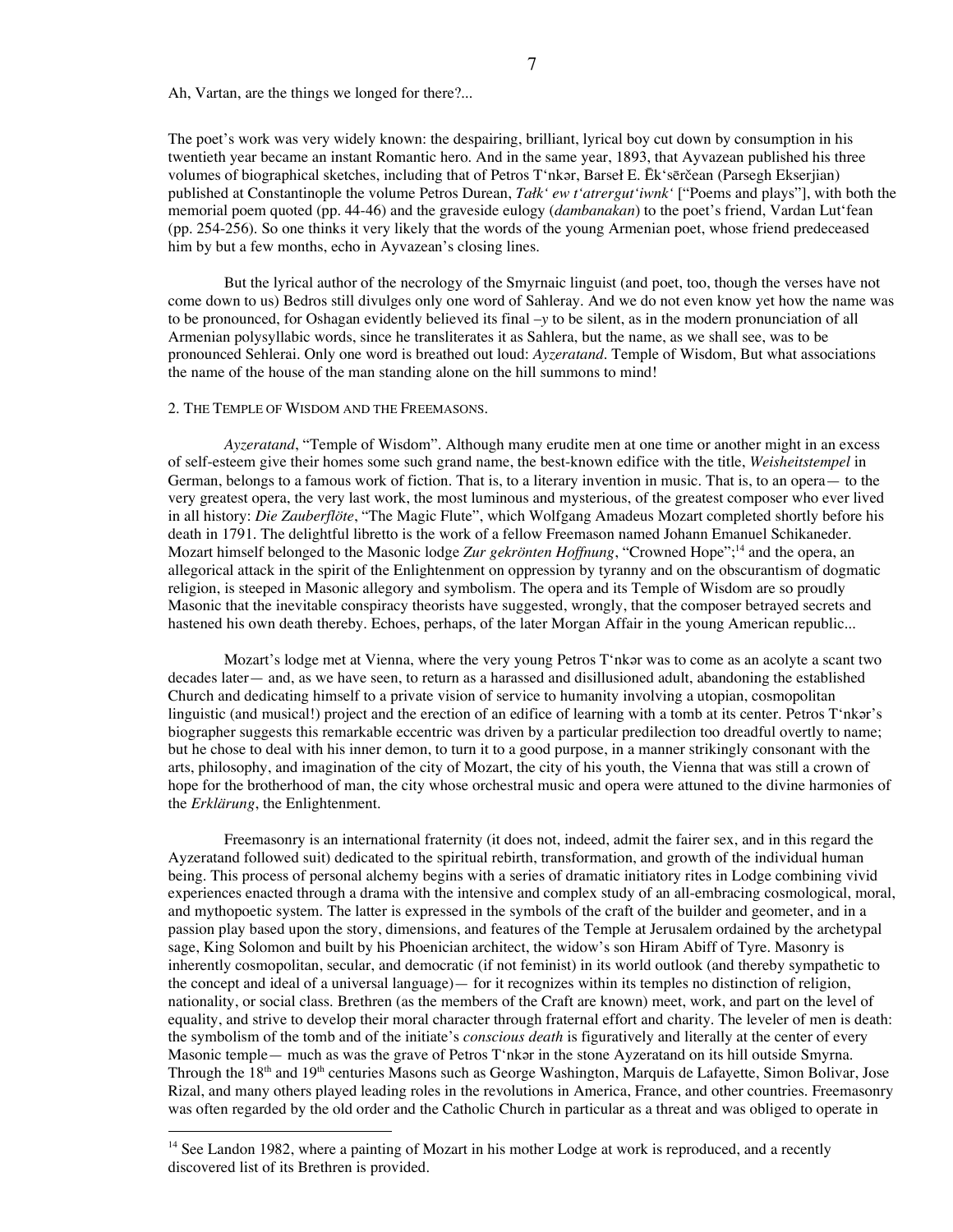Ah, Vartan, are the things we longed for there?...

The poet's work was very widely known: the despairing, brilliant, lyrical boy cut down by consumption in his twentieth year became an instant Romantic hero. And in the same year, 1893, that Ayvazean published his three volumes of biographical sketches, including that of Petros T'nkǝr, Barseł E. Ēk'sērčean (Parsegh Ekserjian) published at Constantinople the volume Petros Durean, *Tałk' ew t'atrergut'iwnk'* ["Poems and plays"], with both the memorial poem quoted (pp. 44-46) and the graveside eulogy (*dambanakan*) to the poet's friend, Vardan Lut'fean (pp. 254-256). So one thinks it very likely that the words of the young Armenian poet, whose friend predeceased him by but a few months, echo in Ayvazean's closing lines.

7

But the lyrical author of the necrology of the Smyrnaic linguist (and poet, too, though the verses have not come down to us) Bedros still divulges only one word of Sahleray. And we do not even know yet how the name was to be pronounced, for Oshagan evidently believed its final –*y* to be silent, as in the modern pronunciation of all Armenian polysyllabic words, since he transliterates it as Sahlera, but the name, as we shall see, was to be pronounced Sehlerai. Only one word is breathed out loud: *Ayzeratand*. Temple of Wisdom, But what associations the name of the house of the man standing alone on the hill summons to mind!

#### 2. THE TEMPLE OF WISDOM AND THE FREEMASONS.

*Ayzeratand*, "Temple of Wisdom". Although many erudite men at one time or another might in an excess of self-esteem give their homes some such grand name, the best-known edifice with the title, *Weisheitstempel* in German, belongs to a famous work of fiction. That is, to a literary invention in music. That is, to an opera— to the very greatest opera, the very last work, the most luminous and mysterious, of the greatest composer who ever lived in all history: *Die Zauberflöte*, "The Magic Flute", which Wolfgang Amadeus Mozart completed shortly before his death in 1791. The delightful libretto is the work of a fellow Freemason named Johann Emanuel Schikaneder. Mozart himself belonged to the Masonic lodge *Zur gekrönten Hoffnung*, "Crowned Hope"; <sup>14</sup> and the opera, an allegorical attack in the spirit of the Enlightenment on oppression by tyranny and on the obscurantism of dogmatic religion, is steeped in Masonic allegory and symbolism. The opera and its Temple of Wisdom are so proudly Masonic that the inevitable conspiracy theorists have suggested, wrongly, that the composer betrayed secrets and hastened his own death thereby. Echoes, perhaps, of the later Morgan Affair in the young American republic...

Mozart's lodge met at Vienna, where the very young Petros T'nkǝr was to come as an acolyte a scant two decades later— and, as we have seen, to return as a harassed and disillusioned adult, abandoning the established Church and dedicating himself to a private vision of service to humanity involving a utopian, cosmopolitan linguistic (and musical!) project and the erection of an edifice of learning with a tomb at its center. Petros T'nkǝr's biographer suggests this remarkable eccentric was driven by a particular predilection too dreadful overtly to name; but he chose to deal with his inner demon, to turn it to a good purpose, in a manner strikingly consonant with the arts, philosophy, and imagination of the city of Mozart, the city of his youth, the Vienna that was still a crown of hope for the brotherhood of man, the city whose orchestral music and opera were attuned to the divine harmonies of the *Erklärung*, the Enlightenment.

Freemasonry is an international fraternity (it does not, indeed, admit the fairer sex, and in this regard the Ayzeratand followed suit) dedicated to the spiritual rebirth, transformation, and growth of the individual human being. This process of personal alchemy begins with a series of dramatic initiatory rites in Lodge combining vivid experiences enacted through a drama with the intensive and complex study of an all-embracing cosmological, moral, and mythopoetic system. The latter is expressed in the symbols of the craft of the builder and geometer, and in a passion play based upon the story, dimensions, and features of the Temple at Jerusalem ordained by the archetypal sage, King Solomon and built by his Phoenician architect, the widow's son Hiram Abiff of Tyre. Masonry is inherently cosmopolitan, secular, and democratic (if not feminist) in its world outlook (and thereby sympathetic to the concept and ideal of a universal language)— for it recognizes within its temples no distinction of religion, nationality, or social class. Brethren (as the members of the Craft are known) meet, work, and part on the level of equality, and strive to develop their moral character through fraternal effort and charity. The leveler of men is death: the symbolism of the tomb and of the initiate's *conscious death* is figuratively and literally at the center of every Masonic temple— much as was the grave of Petros  $T^*$ nkǝr in the stone Ayzeratand on its hill outside Smyrna. Through the 18<sup>th</sup> and 19<sup>th</sup> centuries Masons such as George Washington, Marquis de Lafayette, Simon Bolivar, Jose Rizal, and many others played leading roles in the revolutions in America, France, and other countries. Freemasonry was often regarded by the old order and the Catholic Church in particular as a threat and was obliged to operate in

<sup>&</sup>lt;sup>14</sup> See Landon 1982, where a painting of Mozart in his mother Lodge at work is reproduced, and a recently discovered list of its Brethren is provided.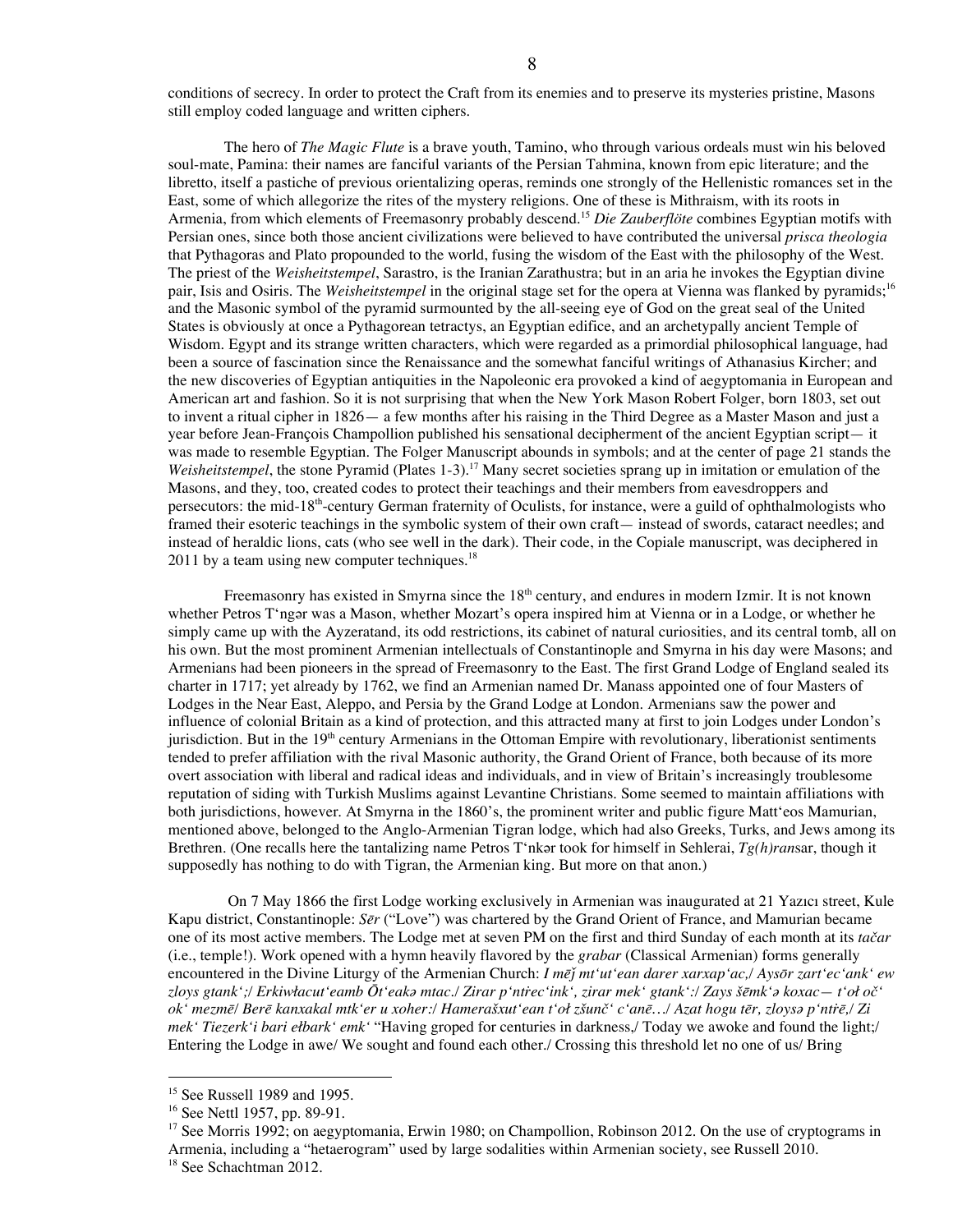conditions of secrecy. In order to protect the Craft from its enemies and to preserve its mysteries pristine, Masons still employ coded language and written ciphers.

The hero of *The Magic Flute* is a brave youth, Tamino, who through various ordeals must win his beloved soul-mate, Pamina: their names are fanciful variants of the Persian Tahmina, known from epic literature; and the libretto, itself a pastiche of previous orientalizing operas, reminds one strongly of the Hellenistic romances set in the East, some of which allegorize the rites of the mystery religions. One of these is Mithraism, with its roots in Armenia, from which elements of Freemasonry probably descend. <sup>15</sup> *Die Zauberflöte* combines Egyptian motifs with Persian ones, since both those ancient civilizations were believed to have contributed the universal *prisca theologia* that Pythagoras and Plato propounded to the world, fusing the wisdom of the East with the philosophy of the West. The priest of the *Weisheitstempel*, Sarastro, is the Iranian Zarathustra; but in an aria he invokes the Egyptian divine pair, Isis and Osiris. The *Weisheitstempel* in the original stage set for the opera at Vienna was flanked by pyramids; 16 and the Masonic symbol of the pyramid surmounted by the all-seeing eye of God on the great seal of the United States is obviously at once a Pythagorean tetractys, an Egyptian edifice, and an archetypally ancient Temple of Wisdom. Egypt and its strange written characters, which were regarded as a primordial philosophical language, had been a source of fascination since the Renaissance and the somewhat fanciful writings of Athanasius Kircher; and the new discoveries of Egyptian antiquities in the Napoleonic era provoked a kind of aegyptomania in European and American art and fashion. So it is not surprising that when the New York Mason Robert Folger, born 1803, set out to invent a ritual cipher in 1826— a few months after his raising in the Third Degree as a Master Mason and just a year before Jean-François Champollion published his sensational decipherment of the ancient Egyptian script— it was made to resemble Egyptian. The Folger Manuscript abounds in symbols; and at the center of page 21 stands the *Weisheitstempel*, the stone Pyramid (Plates 1-3). <sup>17</sup> Many secret societies sprang up in imitation or emulation of the Masons, and they, too, created codes to protect their teachings and their members from eavesdroppers and persecutors: the mid-18<sup>th</sup>-century German fraternity of Oculists, for instance, were a guild of ophthalmologists who framed their esoteric teachings in the symbolic system of their own craft— instead of swords, cataract needles; and instead of heraldic lions, cats (who see well in the dark). Their code, in the Copiale manuscript, was deciphered in  $2011$  by a team using new computer techniques.<sup>18</sup>

Freemasonry has existed in Smyrna since the  $18<sup>th</sup>$  century, and endures in modern Izmir. It is not known whether Petros T'ngǝr was a Mason, whether Mozart's opera inspired him at Vienna or in a Lodge, or whether he simply came up with the Ayzeratand, its odd restrictions, its cabinet of natural curiosities, and its central tomb, all on his own. But the most prominent Armenian intellectuals of Constantinople and Smyrna in his day were Masons; and Armenians had been pioneers in the spread of Freemasonry to the East. The first Grand Lodge of England sealed its charter in 1717; yet already by 1762, we find an Armenian named Dr. Manass appointed one of four Masters of Lodges in the Near East, Aleppo, and Persia by the Grand Lodge at London. Armenians saw the power and influence of colonial Britain as a kind of protection, and this attracted many at first to join Lodges under London's jurisdiction. But in the  $19<sup>th</sup>$  century Armenians in the Ottoman Empire with revolutionary, liberationist sentiments tended to prefer affiliation with the rival Masonic authority, the Grand Orient of France, both because of its more overt association with liberal and radical ideas and individuals, and in view of Britain's increasingly troublesome reputation of siding with Turkish Muslims against Levantine Christians. Some seemed to maintain affiliations with both jurisdictions, however. At Smyrna in the 1860's, the prominent writer and public figure Matt'eos Mamurian, mentioned above, belonged to the Anglo-Armenian Tigran lodge, which had also Greeks, Turks, and Jews among its Brethren. (One recalls here the tantalizing name Petros T'nkǝr took for himself in Sehlerai, *Tg(h)ransar*, though it supposedly has nothing to do with Tigran, the Armenian king. But more on that anon.)

On 7 May 1866 the first Lodge working exclusively in Armenian was inaugurated at 21 Yazıcı street, Kule Kapu district, Constantinople: *Sēr* ("Love") was chartered by the Grand Orient of France, and Mamurian became one of its most active members. The Lodge met at seven PM on the first and third Sunday of each month at its *tačar* (i.e., temple!). Work opened with a hymn heavily flavored by the *grabar* (Classical Armenian) forms generally encountered in the Divine Liturgy of the Armenian Church: *I mēǰ mt'ut'ean darer xarxap'ac,/ Aysōr zart'ec'ank' ew* zloys gtank';/ Erkiwłacut'eamb Ōt'eakə mtac./ Zirar p'ntrec'ink', zirar mek' gtank':/ Zays šēmk'ə koxac— t'oł oč' ok' mezmē/ Berē kanxakal mtk'er u xoher:/ Hamerašxut'ean t'oł zšunč' c'anē.../ Azat hogu tēr, zloysa p'ntrē,/ Zi *mek' Tiezerk'i bari ełbark' emk'* "Having groped for centuries in darkness,/ Today we awoke and found the light;/ Entering the Lodge in awe/ We sought and found each other./ Crossing this threshold let no one of us/ Bring

 <sup>15</sup> See Russell <sup>1989</sup> and 1995.

<sup>16</sup> See Nettl 1957, pp. 89-91.

<sup>&</sup>lt;sup>17</sup> See Morris 1992; on aegyptomania, Erwin 1980; on Champollion, Robinson 2012. On the use of cryptograms in Armenia, including a "hetaerogram" used by large sodalities within Armenian society, see Russell 2010.

<sup>&</sup>lt;sup>18</sup> See Schachtman 2012.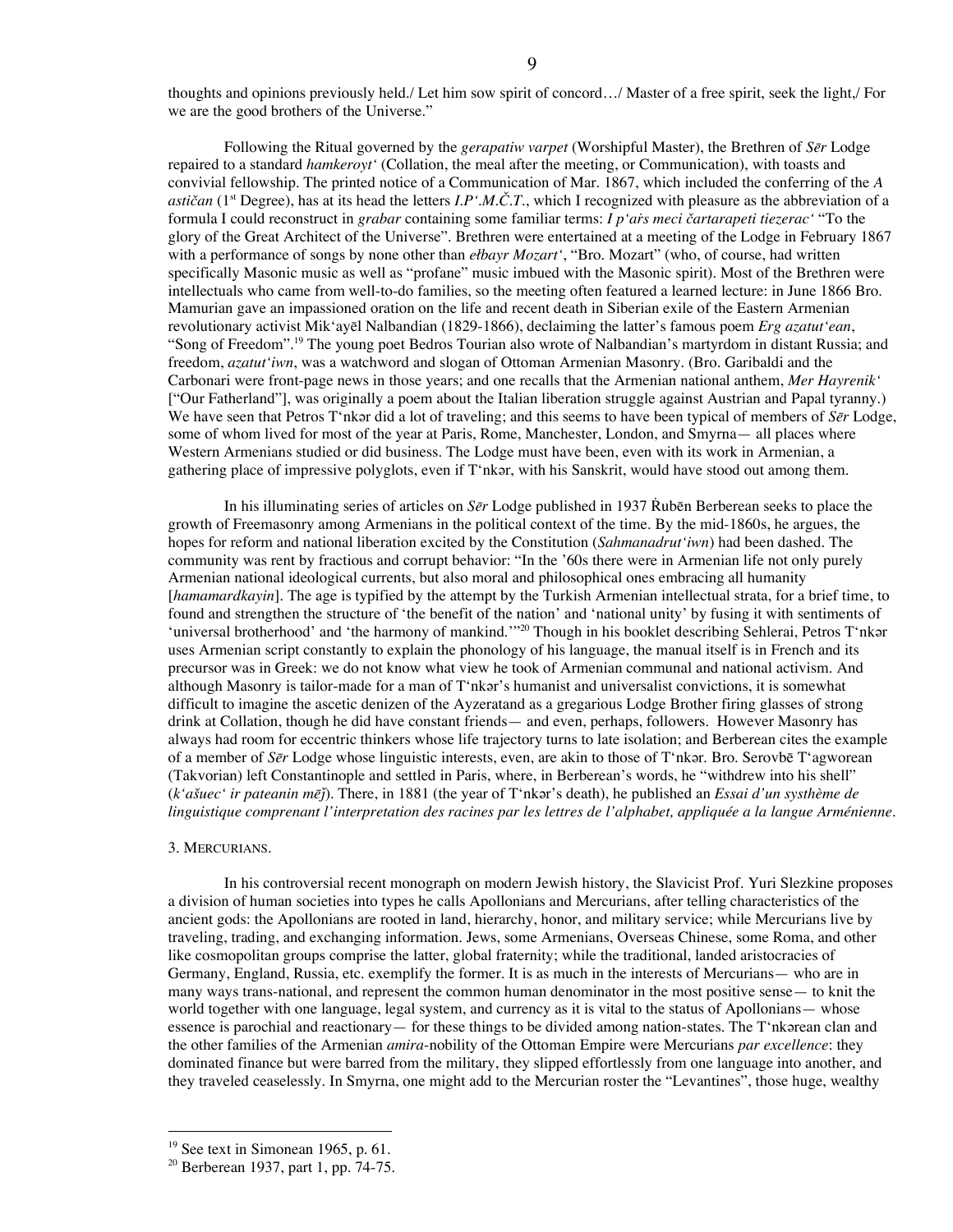thoughts and opinions previously held./ Let him sow spirit of concord…/ Master of a free spirit, seek the light,/ For we are the good brothers of the Universe."

Following the Ritual governed by the *gerapatiw varpet* (Worshipful Master), the Brethren of *Sēr* Lodge repaired to a standard *hamkeroyt'* (Collation, the meal after the meeting, or Communication), with toasts and convivial fellowship. The printed notice of a Communication of Mar. 1867, which included the conferring of the *A astičan* (1<sup>st</sup> Degree), has at its head the letters *I.P'.M.Č.T.*, which I recognized with pleasure as the abbreviation of a formula I could reconstruct in *grabar* containing some familiar terms: *I p'aṙs meci čartarapeti tiezerac'* "To the glory of the Great Architect of the Universe". Brethren were entertained at a meeting of the Lodge in February 1867 with a performance of songs by none other than *ełbayr Mozart'*, "Bro. Mozart" (who, of course, had written specifically Masonic music as well as "profane" music imbued with the Masonic spirit). Most of the Brethren were intellectuals who came from well-to-do families, so the meeting often featured a learned lecture: in June 1866 Bro. Mamurian gave an impassioned oration on the life and recent death in Siberian exile of the Eastern Armenian revolutionary activist Mik'ayēl Nalbandian (1829-1866), declaiming the latter's famous poem *Erg azatut'ean*, "Song of Freedom".<sup>19</sup> The young poet Bedros Tourian also wrote of Nalbandian's martyrdom in distant Russia; and freedom, *azatut'iwn*, was a watchword and slogan of Ottoman Armenian Masonry. (Bro. Garibaldi and the Carbonari were front-page news in those years; and one recalls that the Armenian national anthem, *Mer Hayrenik'* ["Our Fatherland"], was originally a poem about the Italian liberation struggle against Austrian and Papal tyranny.) We have seen that Petros T'nkǝr did a lot of traveling; and this seems to have been typical of members of *Sēr* Lodge, some of whom lived for most of the year at Paris, Rome, Manchester, London, and Smyrna— all places where Western Armenians studied or did business. The Lodge must have been, even with its work in Armenian, a gathering place of impressive polyglots, even if T'nkǝr, with his Sanskrit, would have stood out among them.

In his illuminating series of articles on *Sēr* Lodge published in 1937 Rubēn Berberean seeks to place the growth of Freemasonry among Armenians in the political context of the time. By the mid-1860s, he argues, the hopes for reform and national liberation excited by the Constitution (*Sahmanadrut'iwn*) had been dashed. The community was rent by fractious and corrupt behavior: "In the '60s there were in Armenian life not only purely Armenian national ideological currents, but also moral and philosophical ones embracing all humanity [*hamamardkayin*]. The age is typified by the attempt by the Turkish Armenian intellectual strata, for a brief time, to found and strengthen the structure of 'the benefit of the nation' and 'national unity' by fusing it with sentiments of 'universal brotherhood' and 'the harmony of mankind.'"<sup>20</sup> Though in his booklet describing Sehlerai, Petros T'nkar uses Armenian script constantly to explain the phonology of his language, the manual itself is in French and its precursor was in Greek: we do not know what view he took of Armenian communal and national activism. And although Masonry is tailor-made for a man of T'nkǝr's humanist and universalist convictions, it is somewhat difficult to imagine the ascetic denizen of the Ayzeratand as a gregarious Lodge Brother firing glasses of strong drink at Collation, though he did have constant friends— and even, perhaps, followers. However Masonry has always had room for eccentric thinkers whose life trajectory turns to late isolation; and Berberean cites the example of a member of *S* $\bar{e}$ *r* Lodge whose linguistic interests, even, are akin to those of T'nkar. Bro. Serovbe T'agworean (Takvorian) left Constantinople and settled in Paris, where, in Berberean's words, he "withdrew into his shell" (*k'ašuec' ir pateanin mēǰ*). There, in 1881 (the year of T'nkǝr's death), he published an *Essai d'un systhème de linguistique comprenant l'interpretation des racines par les lettres de l'alphabet, appliquée a la langue Arménienne*.

#### 3. MERCURIANS.

In his controversial recent monograph on modern Jewish history, the Slavicist Prof. Yuri Slezkine proposes a division of human societies into types he calls Apollonians and Mercurians, after telling characteristics of the ancient gods: the Apollonians are rooted in land, hierarchy, honor, and military service; while Mercurians live by traveling, trading, and exchanging information. Jews, some Armenians, Overseas Chinese, some Roma, and other like cosmopolitan groups comprise the latter, global fraternity; while the traditional, landed aristocracies of Germany, England, Russia, etc. exemplify the former. It is as much in the interests of Mercurians— who are in many ways trans-national, and represent the common human denominator in the most positive sense— to knit the world together with one language, legal system, and currency as it is vital to the status of Apollonians— whose essence is parochial and reactionary— for these things to be divided among nation-states. The T'nkǝrean clan and the other families of the Armenian *amira*-nobility of the Ottoman Empire were Mercurians *par excellence*: they dominated finance but were barred from the military, they slipped effortlessly from one language into another, and they traveled ceaselessly. In Smyrna, one might add to the Mercurian roster the "Levantines", those huge, wealthy

 $19$  See text in Simonean 1965, p. 61.

<sup>20</sup> Berberean 1937, part 1, pp. 74-75.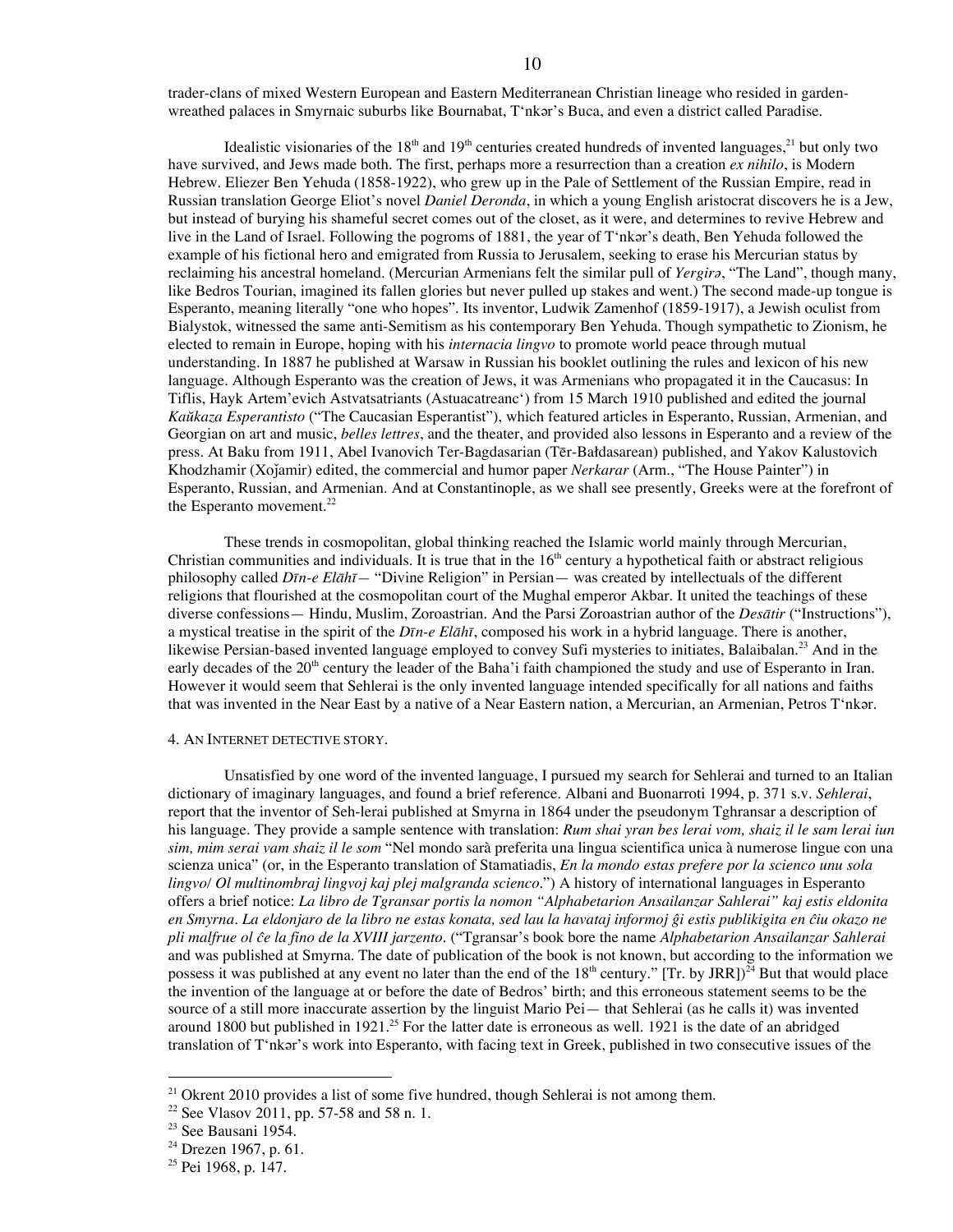trader-clans of mixed Western European and Eastern Mediterranean Christian lineage who resided in gardenwreathed palaces in Smyrnaic suburbs like Bournabat, T'nkǝr's Buca, and even a district called Paradise.

Idealistic visionaries of the 18<sup>th</sup> and 19<sup>th</sup> centuries created hundreds of invented languages,<sup>21</sup> but only two have survived, and Jews made both. The first, perhaps more a resurrection than a creation *ex nihilo*, is Modern Hebrew. Eliezer Ben Yehuda (1858-1922), who grew up in the Pale of Settlement of the Russian Empire, read in Russian translation George Eliot's novel *Daniel Deronda*, in which a young English aristocrat discovers he is a Jew, but instead of burying his shameful secret comes out of the closet, as it were, and determines to revive Hebrew and live in the Land of Israel. Following the pogroms of 1881, the year of T'nkǝr's death, Ben Yehuda followed the example of his fictional hero and emigrated from Russia to Jerusalem, seeking to erase his Mercurian status by reclaiming his ancestral homeland. (Mercurian Armenians felt the similar pull of *Yergirǝ*, "The Land", though many, like Bedros Tourian, imagined its fallen glories but never pulled up stakes and went.) The second made-up tongue is Esperanto, meaning literally "one who hopes". Its inventor, Ludwik Zamenhof (1859-1917), a Jewish oculist from Bialystok, witnessed the same anti-Semitism as his contemporary Ben Yehuda. Though sympathetic to Zionism, he elected to remain in Europe, hoping with his *internacia lingvo* to promote world peace through mutual understanding. In 1887 he published at Warsaw in Russian his booklet outlining the rules and lexicon of his new language. Although Esperanto was the creation of Jews, it was Armenians who propagated it in the Caucasus: In Tiflis, Hayk Artem'evich Astvatsatriants (Astuacatreanc') from 15 March 1910 published and edited the journal *Kaŭkaza Esperantisto* ("The Caucasian Esperantist"), which featured articles in Esperanto, Russian, Armenian, and Georgian on art and music, *belles lettres*, and the theater, and provided also lessons in Esperanto and a review of the press. At Baku from 1911, Abel Ivanovich Ter-Bagdasarian (Tēr-Bałdasarean) published, and Yakov Kalustovich Khodzhamir (Xoǰamir) edited, the commercial and humor paper *Nerkarar* (Arm., "The House Painter") in Esperanto, Russian, and Armenian. And at Constantinople, as we shall see presently, Greeks were at the forefront of the Esperanto movement.<sup>22</sup>

These trends in cosmopolitan, global thinking reached the Islamic world mainly through Mercurian, Christian communities and individuals. It is true that in the  $16<sup>th</sup>$  century a hypothetical faith or abstract religious philosophy called *Dīn-e Elāhī—* "Divine Religion" in Persian— was created by intellectuals of the different religions that flourished at the cosmopolitan court of the Mughal emperor Akbar. It united the teachings of these diverse confessions— Hindu, Muslim, Zoroastrian. And the Parsi Zoroastrian author of the *Desātir* ("Instructions"), a mystical treatise in the spirit of the *Dīn-e Elāhī*, composed his work in a hybrid language. There is another, likewise Persian-based invented language employed to convey Sufi mysteries to initiates, Balaibalan.<sup>23</sup> And in the early decades of the 20<sup>th</sup> century the leader of the Baha'i faith championed the study and use of Esperanto in Iran. However it would seem that Sehlerai is the only invented language intended specifically for all nations and faiths that was invented in the Near East by a native of a Near Eastern nation, a Mercurian, an Armenian, Petros T'nkǝr.

#### 4. AN INTERNET DETECTIVE STORY.

Unsatisfied by one word of the invented language, I pursued my search for Sehlerai and turned to an Italian dictionary of imaginary languages, and found a brief reference. Albani and Buonarroti 1994, p. 371 s.v. *Sehlerai*, report that the inventor of Seh-lerai published at Smyrna in 1864 under the pseudonym Tghransar a description of his language. They provide a sample sentence with translation: *Rum shai yran bes lerai vom, shaiz il le sam lerai iun sim, mim serai vam shaiz il le som* "Nel mondo sarà preferita una lingua scientifica unica à numerose lingue con una scienza unica" (or, in the Esperanto translation of Stamatiadis, *En la mondo estas prefere por la scienco unu sola lingvo/ Ol multinombraj lingvoj kaj plej malgranda scienco*.") A history of international languages in Esperanto offers a brief notice: *La libro de Tgransar portis la nomon "Alphabetarion Ansailanzar Sahlerai" kaj estis eldonita* en Smyrna. La eldonjaro de la libro ne estas konata, sed lau la havataj informoj ĝi estis publikigita en ĉiu okazo ne *pli malfrue ol ĉe la fino de la XVIII jarzento*. ("Tgransar's book bore the name *Alphabetarion Ansailanzar Sahlerai* and was published at Smyrna. The date of publication of the book is not known, but according to the information we possess it was published at any event no later than the end of the  $18^{\text{th}}$  century." [Tr. by JRR])<sup>24</sup> But that would place the invention of the language at or before the date of Bedros' birth; and this erroneous statement seems to be the source of a still more inaccurate assertion by the linguist Mario Pei— that Sehlerai (as he calls it) was invented around 1800 but published in 1921.<sup>25</sup> For the latter date is erroneous as well. 1921 is the date of an abridged translation of T'nkǝr's work into Esperanto, with facing text in Greek, published in two consecutive issues of the

 $21$  Okrent 2010 provides a list of some five hundred, though Sehlerai is not among them.

<sup>22</sup> See Vlasov 2011, pp. 57-58 and 58 n. 1.

<sup>&</sup>lt;sup>23</sup> See Bausani 1954.

 $24$  Drezen 1967, p. 61.

<sup>&</sup>lt;sup>25</sup> Pei 1968, p. 147.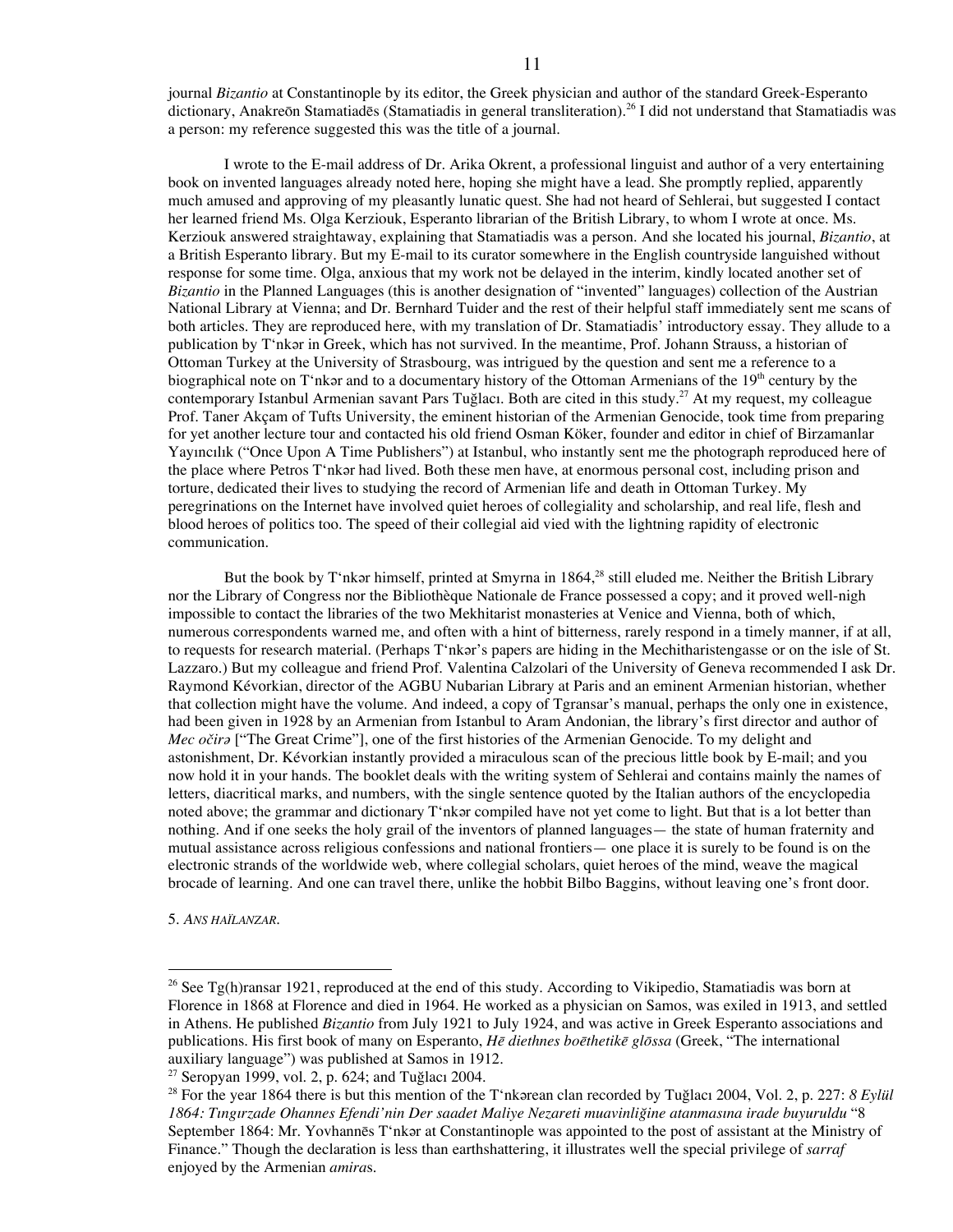journal *Bizantio* at Constantinople by its editor, the Greek physician and author of the standard Greek-Esperanto dictionary, Anakreōn Stamatiadēs (Stamatiadis in general transliteration). <sup>26</sup> I did not understand that Stamatiadis was a person: my reference suggested this was the title of a journal.

I wrote to the E-mail address of Dr. Arika Okrent, a professional linguist and author of a very entertaining book on invented languages already noted here, hoping she might have a lead. She promptly replied, apparently much amused and approving of my pleasantly lunatic quest. She had not heard of Sehlerai, but suggested I contact her learned friend Ms. Olga Kerziouk, Esperanto librarian of the British Library, to whom I wrote at once. Ms. Kerziouk answered straightaway, explaining that Stamatiadis was a person. And she located his journal, *Bizantio*, at a British Esperanto library. But my E-mail to its curator somewhere in the English countryside languished without response for some time. Olga, anxious that my work not be delayed in the interim, kindly located another set of *Bizantio* in the Planned Languages (this is another designation of "invented" languages) collection of the Austrian National Library at Vienna; and Dr. Bernhard Tuider and the rest of their helpful staff immediately sent me scans of both articles. They are reproduced here, with my translation of Dr. Stamatiadis' introductory essay. They allude to a publication by T'nkǝr in Greek, which has not survived. In the meantime, Prof. Johann Strauss, a historian of Ottoman Turkey at the University of Strasbourg, was intrigued by the question and sent me a reference to a biographical note on T'nkǝr and to a documentary history of the Ottoman Armenians of the  $19<sup>th</sup>$  century by the contemporary Istanbul Armenian savant Pars Tuğlacı. Both are cited in this study. <sup>27</sup> At my request, my colleague Prof. Taner Akçam of Tufts University, the eminent historian of the Armenian Genocide, took time from preparing for yet another lecture tour and contacted his old friend Osman Köker, founder and editor in chief of Birzamanlar Yayıncılık ("Once Upon A Time Publishers") at Istanbul, who instantly sent me the photograph reproduced here of the place where Petros T'nkǝr had lived. Both these men have, at enormous personal cost, including prison and torture, dedicated their lives to studying the record of Armenian life and death in Ottoman Turkey. My peregrinations on the Internet have involved quiet heroes of collegiality and scholarship, and real life, flesh and blood heroes of politics too. The speed of their collegial aid vied with the lightning rapidity of electronic communication.

But the book by T'nkar himself, printed at Smyrna in 1864,<sup>28</sup> still eluded me. Neither the British Library nor the Library of Congress nor the Bibliothèque Nationale de France possessed a copy; and it proved well-nigh impossible to contact the libraries of the two Mekhitarist monasteries at Venice and Vienna, both of which, numerous correspondents warned me, and often with a hint of bitterness, rarely respond in a timely manner, if at all, to requests for research material. (Perhaps T'nkǝr's papers are hiding in the Mechitharistengasse or on the isle of St. Lazzaro.) But my colleague and friend Prof. Valentina Calzolari of the University of Geneva recommended I ask Dr. Raymond Kévorkian, director of the AGBU Nubarian Library at Paris and an eminent Armenian historian, whether that collection might have the volume. And indeed, a copy of Tgransar's manual, perhaps the only one in existence, had been given in 1928 by an Armenian from Istanbul to Aram Andonian, the library's first director and author of *Mec očirǝ* ["The Great Crime"], one of the first histories of the Armenian Genocide. To my delight and astonishment, Dr. Kévorkian instantly provided a miraculous scan of the precious little book by E-mail; and you now hold it in your hands. The booklet deals with the writing system of Sehlerai and contains mainly the names of letters, diacritical marks, and numbers, with the single sentence quoted by the Italian authors of the encyclopedia noted above; the grammar and dictionary  $T^*$ nkǝr compiled have not yet come to light. But that is a lot better than nothing. And if one seeks the holy grail of the inventors of planned languages— the state of human fraternity and mutual assistance across religious confessions and national frontiers— one place it is surely to be found is on the electronic strands of the worldwide web, where collegial scholars, quiet heroes of the mind, weave the magical brocade of learning. And one can travel there, unlike the hobbit Bilbo Baggins, without leaving one's front door.

5. *ANS HAÏLANZAR*.

<sup>&</sup>lt;sup>26</sup> See Tg(h)ransar 1921, reproduced at the end of this study. According to Vikipedio, Stamatiadis was born at Florence in 1868 at Florence and died in 1964. He worked as a physician on Samos, was exiled in 1913, and settled in Athens. He published *Bizantio* from July 1921 to July 1924, and was active in Greek Esperanto associations and publications. His first book of many on Esperanto, *Hē diethnes boēthetikē glōssa* (Greek, "The international auxiliary language") was published at Samos in 1912.

 $27$  Seropyan 1999, vol. 2, p. 624; and Tuğlacı 2004.

<sup>&</sup>lt;sup>28</sup> For the year 1864 there is but this mention of the T'nkǝrean clan recorded by Tuğlacı 2004, Vol. 2, p. 227: *8 Eylül 1864: Tıngırzade Ohannes Efendi'nin Der saadet Maliye Nezareti muavinliğine atanmasına irade buyuruldu* "8 September 1864: Mr. Yovhannēs T'nkǝr at Constantinople was appointed to the post of assistant at the Ministry of Finance." Though the declaration is less than earthshattering, it illustrates well the special privilege of *sarraf* enjoyed by the Armenian *amira*s.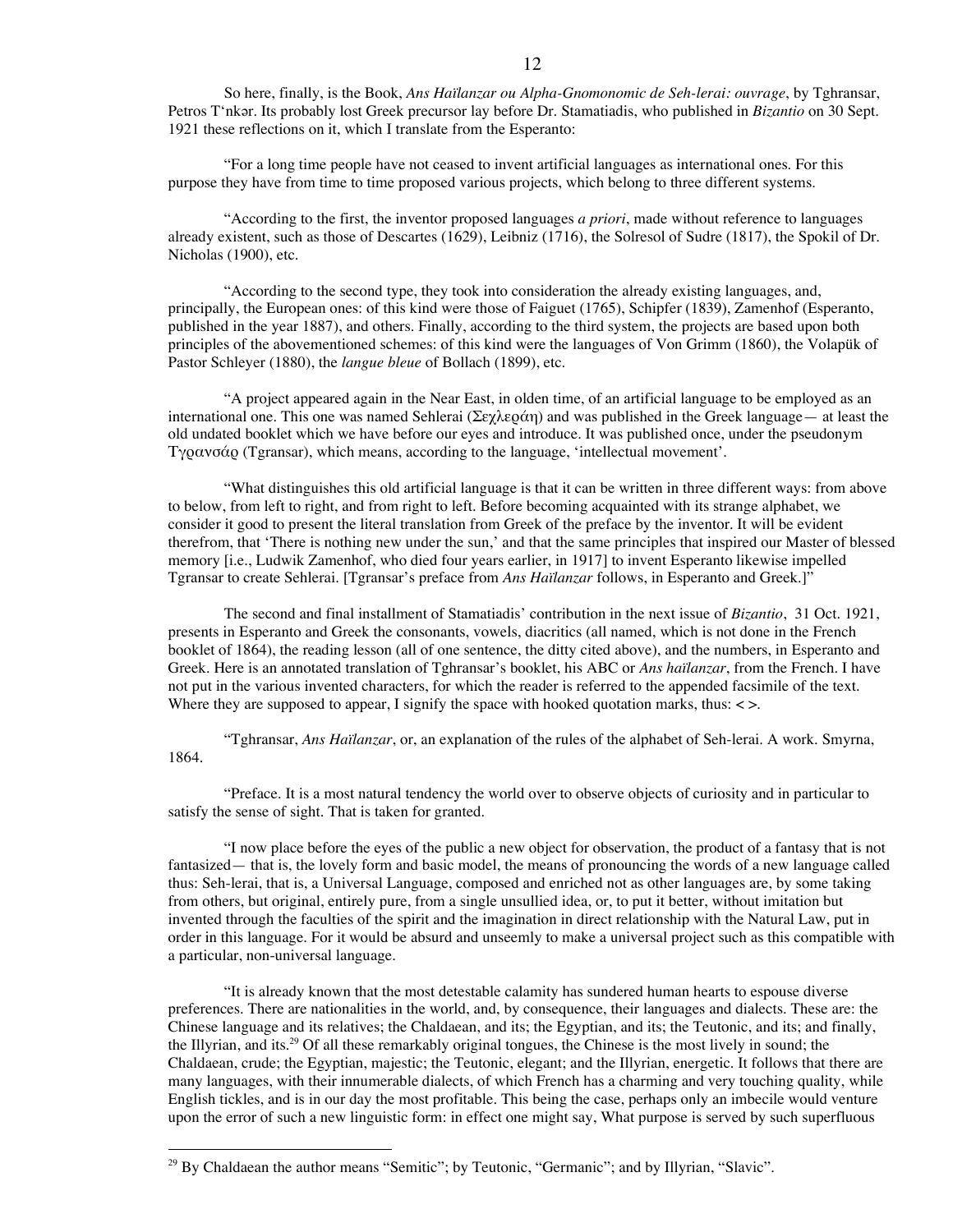"For a long time people have not ceased to invent artificial languages as international ones. For this purpose they have from time to time proposed various projects, which belong to three different systems.

"According to the first, the inventor proposed languages *a priori*, made without reference to languages already existent, such as those of Descartes (1629), Leibniz (1716), the Solresol of Sudre (1817), the Spokil of Dr. Nicholas (1900), etc.

"According to the second type, they took into consideration the already existing languages, and, principally, the European ones: of this kind were those of Faiguet (1765), Schipfer (1839), Zamenhof (Esperanto, published in the year 1887), and others. Finally, according to the third system, the projects are based upon both principles of the abovementioned schemes: of this kind were the languages of Von Grimm (1860), the Volapük of Pastor Schleyer (1880), the *langue bleue* of Bollach (1899), etc.

"A project appeared again in the Near East, in olden time, of an artificial language to be employed as an international one. This one was named Sehlerai (Σεχλεράη) and was published in the Greek language— at least the old undated booklet which we have before our eyes and introduce. It was published once, under the pseudonym Τγρανσάρ (Tgransar), which means, according to the language, 'intellectual movement'.

"What distinguishes this old artificial language is that it can be written in three different ways: from above to below, from left to right, and from right to left. Before becoming acquainted with its strange alphabet, we consider it good to present the literal translation from Greek of the preface by the inventor. It will be evident therefrom, that 'There is nothing new under the sun,' and that the same principles that inspired our Master of blessed memory [i.e., Ludwik Zamenhof, who died four years earlier, in 1917] to invent Esperanto likewise impelled Tgransar to create Sehlerai. [Tgransar's preface from *Ans Haïlanzar* follows, in Esperanto and Greek.]"

The second and final installment of Stamatiadis' contribution in the next issue of *Bizantio*, 31 Oct. 1921, presents in Esperanto and Greek the consonants, vowels, diacritics (all named, which is not done in the French booklet of 1864), the reading lesson (all of one sentence, the ditty cited above), and the numbers, in Esperanto and Greek. Here is an annotated translation of Tghransar's booklet, his ABC or *Ans haïlanzar*, from the French. I have not put in the various invented characters, for which the reader is referred to the appended facsimile of the text. Where they are supposed to appear, I signify the space with hooked quotation marks, thus:  $\langle \rangle$ .

"Tghransar, *Ans Haïlanzar*, or, an explanation of the rules of the alphabet of Seh-lerai. A work. Smyrna, 1864.

"Preface. It is a most natural tendency the world over to observe objects of curiosity and in particular to satisfy the sense of sight. That is taken for granted.

"I now place before the eyes of the public a new object for observation, the product of a fantasy that is not fantasized— that is, the lovely form and basic model, the means of pronouncing the words of a new language called thus: Seh-lerai, that is, a Universal Language, composed and enriched not as other languages are, by some taking from others, but original, entirely pure, from a single unsullied idea, or, to put it better, without imitation but invented through the faculties of the spirit and the imagination in direct relationship with the Natural Law, put in order in this language. For it would be absurd and unseemly to make a universal project such as this compatible with a particular, non-universal language.

"It is already known that the most detestable calamity has sundered human hearts to espouse diverse preferences. There are nationalities in the world, and, by consequence, their languages and dialects. These are: the Chinese language and its relatives; the Chaldaean, and its; the Egyptian, and its; the Teutonic, and its; and finally, the Illyrian, and its.<sup>29</sup> Of all these remarkably original tongues, the Chinese is the most lively in sound; the Chaldaean, crude; the Egyptian, majestic; the Teutonic, elegant; and the Illyrian, energetic. It follows that there are many languages, with their innumerable dialects, of which French has a charming and very touching quality, while English tickles, and is in our day the most profitable. This being the case, perhaps only an imbecile would venture upon the error of such a new linguistic form: in effect one might say, What purpose is served by such superfluous

<sup>&</sup>lt;sup>29</sup> By Chaldaean the author means "Semitic"; by Teutonic, "Germanic"; and by Illyrian, "Slavic".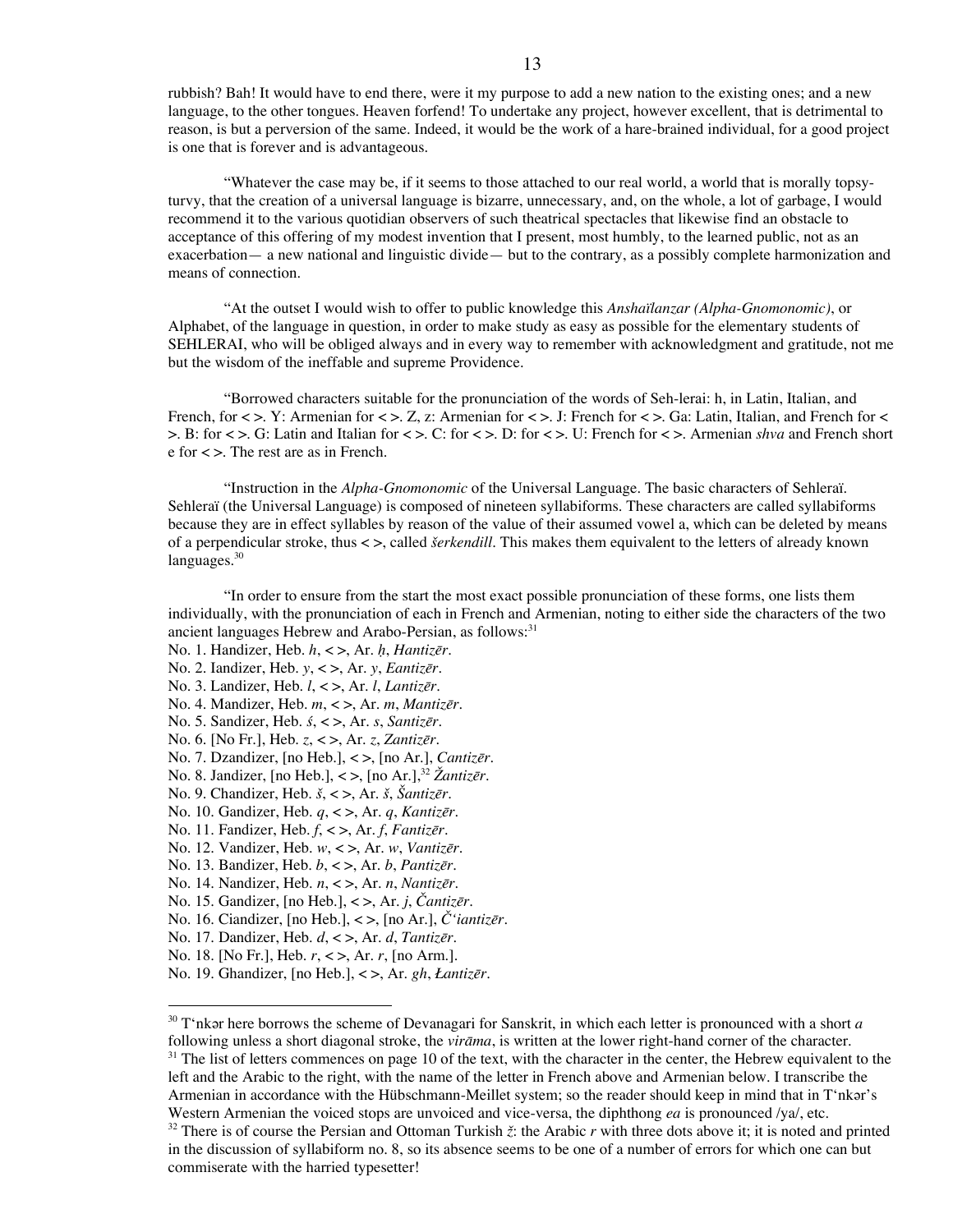rubbish? Bah! It would have to end there, were it my purpose to add a new nation to the existing ones; and a new language, to the other tongues. Heaven forfend! To undertake any project, however excellent, that is detrimental to reason, is but a perversion of the same. Indeed, it would be the work of a hare-brained individual, for a good project is one that is forever and is advantageous.

"Whatever the case may be, if it seems to those attached to our real world, a world that is morally topsyturvy, that the creation of a universal language is bizarre, unnecessary, and, on the whole, a lot of garbage, I would recommend it to the various quotidian observers of such theatrical spectacles that likewise find an obstacle to acceptance of this offering of my modest invention that I present, most humbly, to the learned public, not as an exacerbation— a new national and linguistic divide— but to the contrary, as a possibly complete harmonization and means of connection.

"At the outset I would wish to offer to public knowledge this *Anshaïlanzar (Alpha-Gnomonomic)*, or Alphabet, of the language in question, in order to make study as easy as possible for the elementary students of SEHLERAI, who will be obliged always and in every way to remember with acknowledgment and gratitude, not me but the wisdom of the ineffable and supreme Providence.

"Borrowed characters suitable for the pronunciation of the words of Seh-lerai: h, in Latin, Italian, and French, for  $\langle \rangle$ . Y: Armenian for  $\langle \rangle$  z. Z, z: Armenian for  $\langle \rangle$ . J: French for  $\langle \rangle$ . Ga: Latin, Italian, and French for  $\langle \rangle$ >. B: for < >. G: Latin and Italian for < >. C: for < >. D: for < >. U: French for < >. Armenian *shva* and French short e for < >. The rest are as in French.

"Instruction in the *Alpha-Gnomonomic* of the Universal Language. The basic characters of Sehleraï. Sehleraï (the Universal Language) is composed of nineteen syllabiforms. These characters are called syllabiforms because they are in effect syllables by reason of the value of their assumed vowel a, which can be deleted by means of a perpendicular stroke, thus < >, called *šerkendill*. This makes them equivalent to the letters of already known languages.<sup>30</sup>

"In order to ensure from the start the most exact possible pronunciation of these forms, one lists them individually, with the pronunciation of each in French and Armenian, noting to either side the characters of the two ancient languages Hebrew and Arabo-Persian, as follows:<sup>31</sup>

- No. 1. Handizer, Heb. *h*, < >, Ar. *ḥ*, *Hantizēr*.
- No. 2. Iandizer, Heb. *y*, < >, Ar. *y*, *Eantizēr*.
- No. 3. Landizer, Heb. *l*, < >, Ar. *l*, *Lantizēr*.
- No. 4. Mandizer, Heb. *m*, < >, Ar. *m*, *Mantizēr*.
- No. 5. Sandizer, Heb. *ś*, < >, Ar. *s*, *Santizēr*.
- No. 6. [No Fr.], Heb. *z*, < >, Ar. *z*, *Zantizēr*.
- No. 7. Dzandizer, [no Heb.], < >, [no Ar.], *Cantizēr*.
- No. 8. Jandizer, [no Heb.], < >, [no Ar.], <sup>32</sup> *Žantizēr*.
- No. 9. Chandizer, Heb. *š*, < >, Ar. *š*, *Šantizēr*.
- No. 10. Gandizer, Heb. *q*, < >, Ar. *q*, *Kantizēr*.
- No. 11. Fandizer, Heb. *f*, < >, Ar. *f*, *Fantizēr*.
- No. 12. Vandizer, Heb. *w*, < >, Ar. *w*, *Vantizēr*.
- No. 13. Bandizer, Heb. *b*, < >, Ar. *b*, *Pantizēr*.
- No. 14. Nandizer, Heb. *n*, < >, Ar. *n*, *Nantizēr*.
- No. 15. Gandizer, [no Heb.], < >, Ar. *j*, *Čantizēr.*
- No. 16. Ciandizer, [no Heb.], < >, [no Ar.], *Č'iantizēr*.
- No. 17. Dandizer, Heb. *d*, < >, Ar. *d*, *Tantizēr*.
- No. 18. [No Fr.], Heb. *r*, < >, Ar. *r*, [no Arm.].
- No. 19. Ghandizer, [no Heb.], < >, Ar. *gh*, *Łantizēr*.

<sup>&</sup>lt;sup>30</sup> T'nkǝr here borrows the scheme of Devanagari for Sanskrit, in which each letter is pronounced with a short *a* following unless a short diagonal stroke, the *virāma*, is written at the lower right-hand corner of the character.

<sup>&</sup>lt;sup>31</sup> The list of letters commences on page 10 of the text, with the character in the center, the Hebrew equivalent to the left and the Arabic to the right, with the name of the letter in French above and Armenian below. I transcribe the Armenian in accordance with the Hübschmann-Meillet system; so the reader should keep in mind that in T'nkar's Western Armenian the voiced stops are unvoiced and vice-versa, the diphthong *ea* is pronounced /ya/, etc.

<sup>&</sup>lt;sup>32</sup> There is of course the Persian and Ottoman Turkish  $\zeta$ : the Arabic *r* with three dots above it; it is noted and printed in the discussion of syllabiform no. 8, so its absence seems to be one of a number of errors for which one can but commiserate with the harried typesetter!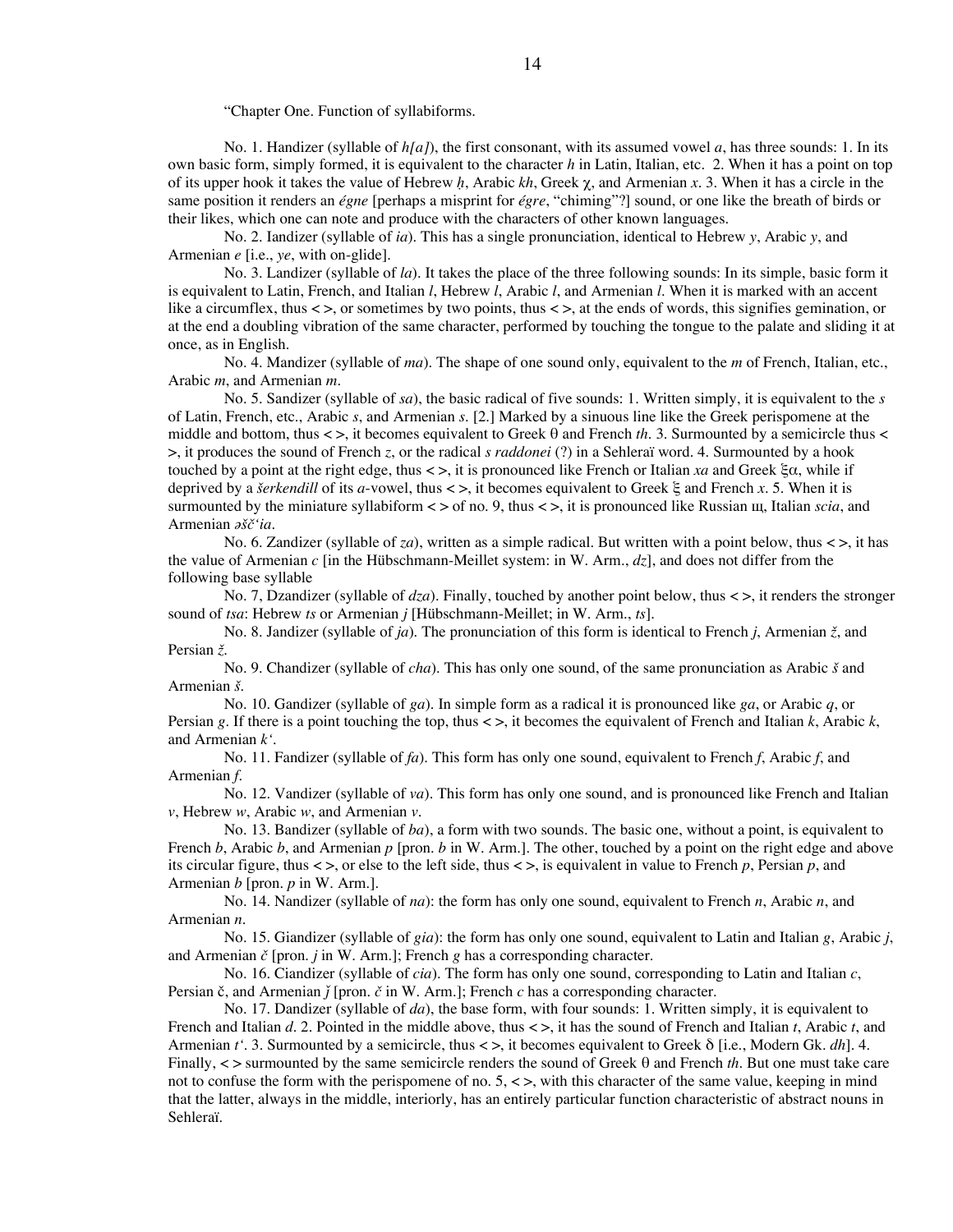"Chapter One. Function of syllabiforms.

No. 1. Handizer (syllable of *h[a]*), the first consonant, with its assumed vowel *a*, has three sounds: 1. In its own basic form, simply formed, it is equivalent to the character *h* in Latin, Italian, etc. 2. When it has a point on top of its upper hook it takes the value of Hebrew *ḥ*, Arabic *kh*, Greek χ, and Armenian *x*. 3. When it has a circle in the same position it renders an *égne* [perhaps a misprint for *égre*, "chiming"?] sound, or one like the breath of birds or their likes, which one can note and produce with the characters of other known languages.

No. 2. Iandizer (syllable of *ia*). This has a single pronunciation, identical to Hebrew *y*, Arabic *y*, and Armenian *e* [i.e., *ye*, with on-glide].

No. 3. Landizer (syllable of *la*). It takes the place of the three following sounds: In its simple, basic form it is equivalent to Latin, French, and Italian *l*, Hebrew *l*, Arabic *l*, and Armenian *l*. When it is marked with an accent like a circumflex, thus < >, or sometimes by two points, thus < >, at the ends of words, this signifies gemination, or at the end a doubling vibration of the same character, performed by touching the tongue to the palate and sliding it at once, as in English.

No. 4. Mandizer (syllable of *ma*). The shape of one sound only, equivalent to the *m* of French, Italian, etc., Arabic *m*, and Armenian *m*.

No. 5. Sandizer (syllable of *sa*), the basic radical of five sounds: 1. Written simply, it is equivalent to the *s* of Latin, French, etc., Arabic *s*, and Armenian *s*. [2.] Marked by a sinuous line like the Greek perispomene at the middle and bottom, thus < >, it becomes equivalent to Greek θ and French *th*. 3. Surmounted by a semicircle thus < >, it produces the sound of French *z*, or the radical *s raddonei* (?) in a Sehleraï word. 4. Surmounted by a hook touched by a point at the right edge, thus < >, it is pronounced like French or Italian *xa* and Greek ξα, while if deprived by a *šerkendill* of its *a*-vowel, thus < >, it becomes equivalent to Greek ξ and French *x*. 5. When it is surmounted by the miniature syllabiform < > of no. 9, thus < >, it is pronounced like Russian щ, Italian *scia*, and Armenian *ǝšč'ia*.

No. 6. Zandizer (syllable of *za*), written as a simple radical. But written with a point below, thus  $\lt$  >, it has the value of Armenian *c* [in the Hübschmann-Meillet system: in W. Arm., *dz*], and does not differ from the following base syllable

No. 7, Dzandizer (syllable of *dza*). Finally, touched by another point below, thus < >, it renders the stronger sound of *tsa*: Hebrew *ts* or Armenian *j* [Hübschmann-Meillet; in W. Arm., *ts*].

No. 8. Jandizer (syllable of *ja*). The pronunciation of this form is identical to French *j*, Armenian *ž*, and Persian *ž*.

No. 9. Chandizer (syllable of *cha*). This has only one sound, of the same pronunciation as Arabic *š* and Armenian *š*.

No. 10. Gandizer (syllable of *ga*). In simple form as a radical it is pronounced like *ga*, or Arabic *q*, or Persian *g*. If there is a point touching the top, thus < >, it becomes the equivalent of French and Italian *k*, Arabic *k*, and Armenian *k'*.

No. 11. Fandizer (syllable of *fa*). This form has only one sound, equivalent to French *f*, Arabic *f*, and Armenian *f*.

No. 12. Vandizer (syllable of *va*). This form has only one sound, and is pronounced like French and Italian *v*, Hebrew *w*, Arabic *w*, and Armenian *v*.

No. 13. Bandizer (syllable of *ba*), a form with two sounds. The basic one, without a point, is equivalent to French *b*, Arabic *b*, and Armenian *p* [pron. *b* in W. Arm.]. The other, touched by a point on the right edge and above its circular figure, thus < >, or else to the left side, thus < >, is equivalent in value to French *p*, Persian *p*, and Armenian *b* [pron. *p* in W. Arm.].

No. 14. Nandizer (syllable of *na*): the form has only one sound, equivalent to French *n*, Arabic *n*, and Armenian *n*.

No. 15. Giandizer (syllable of *gia*): the form has only one sound, equivalent to Latin and Italian *g*, Arabic *j*, and Armenian *č* [pron. *j* in W. Arm.]; French *g* has a corresponding character.

No. 16. Ciandizer (syllable of *cia*). The form has only one sound, corresponding to Latin and Italian *c*, Persian č, and Armenian *ǰ* [pron. *č* in W. Arm.]; French *c* has a corresponding character.

No. 17. Dandizer (syllable of *da*), the base form, with four sounds: 1. Written simply, it is equivalent to French and Italian *d*. 2. Pointed in the middle above, thus < >, it has the sound of French and Italian *t*, Arabic *t*, and Armenian *t'*. 3. Surmounted by a semicircle, thus < >, it becomes equivalent to Greek δ [i.e., Modern Gk. *dh*]. 4. Finally, < > surmounted by the same semicircle renders the sound of Greek θ and French *th*. But one must take care not to confuse the form with the perispomene of no.  $5, \leq$ , with this character of the same value, keeping in mind that the latter, always in the middle, interiorly, has an entirely particular function characteristic of abstract nouns in Sehleraï.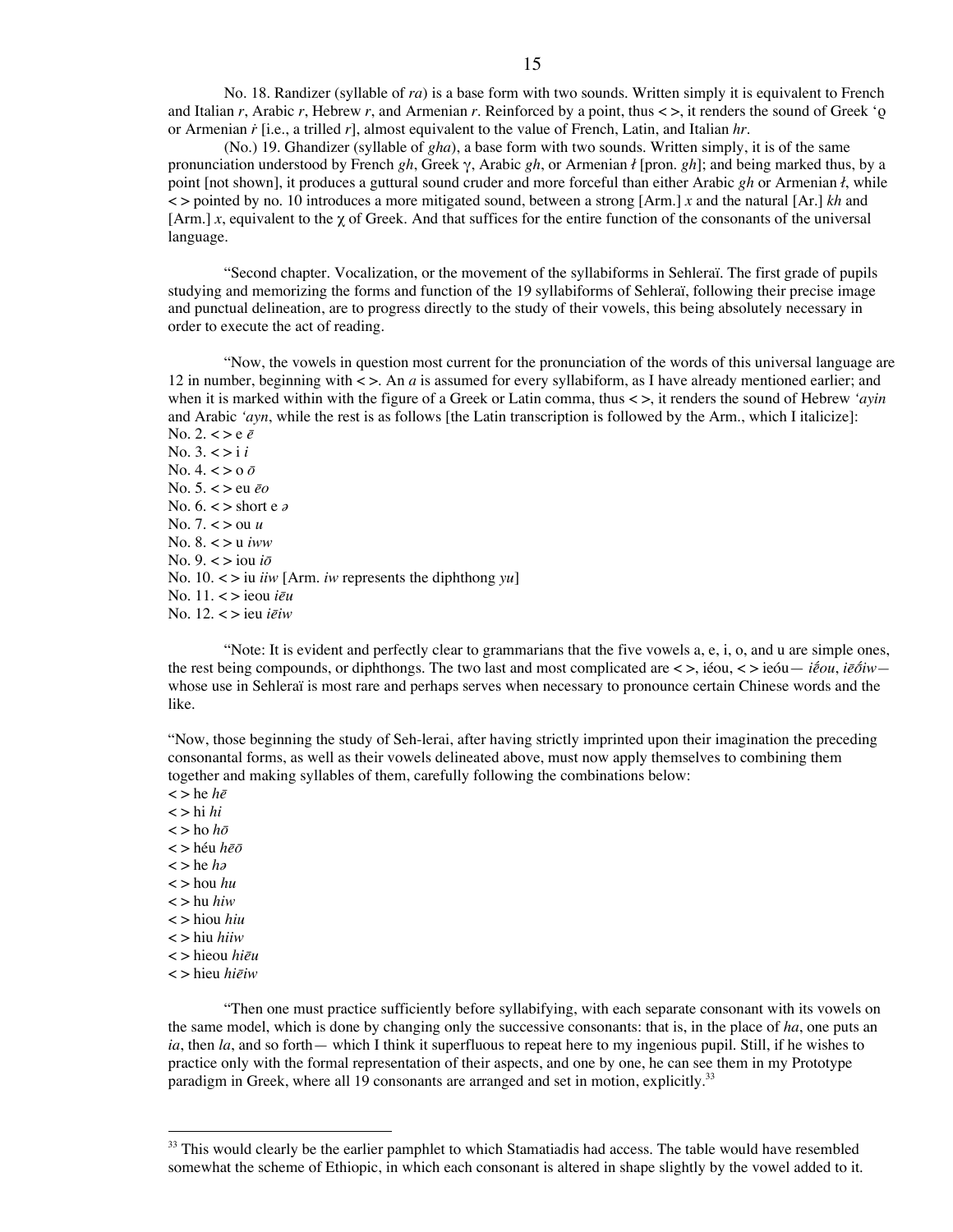No. 18. Randizer (syllable of *ra*) is a base form with two sounds. Written simply it is equivalent to French and Italian *r*, Arabic *r*, Hebrew *r*, and Armenian *r*. Reinforced by a point, thus < >, it renders the sound of Greek 'ρ or Armenian *ṙ* [i.e., a trilled *r*], almost equivalent to the value of French, Latin, and Italian *hr*.

(No.) 19. Ghandizer (syllable of *gha*), a base form with two sounds. Written simply, it is of the same pronunciation understood by French *gh*, Greek γ, Arabic *gh*, or Armenian *ł* [pron. *gh*]; and being marked thus, by a point [not shown], it produces a guttural sound cruder and more forceful than either Arabic *gh* or Armenian *ł*, while < > pointed by no. 10 introduces a more mitigated sound, between a strong [Arm.] *x* and the natural [Ar.] *kh* and [Arm.] *x*, equivalent to the  $\gamma$  of Greek. And that suffices for the entire function of the consonants of the universal language.

"Second chapter. Vocalization, or the movement of the syllabiforms in Sehleraï. The first grade of pupils studying and memorizing the forms and function of the 19 syllabiforms of Sehleraï, following their precise image and punctual delineation, are to progress directly to the study of their vowels, this being absolutely necessary in order to execute the act of reading.

"Now, the vowels in question most current for the pronunciation of the words of this universal language are 12 in number, beginning with < >. An *a* is assumed for every syllabiform, as I have already mentioned earlier; and when it is marked within with the figure of a Greek or Latin comma, thus < >, it renders the sound of Hebrew *'ayin* and Arabic *'ayn*, while the rest is as follows [the Latin transcription is followed by the Arm., which I italicize]:

No. 2.  $\lt$  > e  $\bar{e}$ No. 3. < > i *i* No. 4. < > o *ō* No. 5. < > eu *ēo* No. 6. < > short e *ǝ* No. 7. < > ou *u* No. 8. < > u *iww* No.  $9 \leq x \leq \text{ion } i\bar{\sigma}$ No. 10. < > iu *iiw* [Arm. *iw* represents the diphthong *yu*] No. 11. < > ieou *iēu* No. 12. < > ieu *iēiw*

"Note: It is evident and perfectly clear to grammarians that the five vowels a, e, i, o, and u are simple ones, the rest being compounds, or diphthongs. The two last and most complicated are < >, iéou, < > ieóu— *iḗou*, *iēṓiw* whose use in Sehleraï is most rare and perhaps serves when necessary to pronounce certain Chinese words and the like.

"Now, those beginning the study of Seh-lerai, after having strictly imprinted upon their imagination the preceding consonantal forms, as well as their vowels delineated above, must now apply themselves to combining them together and making syllables of them, carefully following the combinations below:

 $\lt$  > he *h* $\bar{e}$  $\langle$  > hi *hi* < > ho *hō* < > héu *hēō* < > he *hǝ* < > hou *hu* < > hu *hiw* < > hiou *hiu* < > hiu *hiiw* < > hieou *hiēu* < > hieu *hiēiw*

"Then one must practice sufficiently before syllabifying, with each separate consonant with its vowels on the same model, which is done by changing only the successive consonants: that is, in the place of *ha*, one puts an *ia*, then *la*, and so forth— which I think it superfluous to repeat here to my ingenious pupil. Still, if he wishes to practice only with the formal representation of their aspects, and one by one, he can see them in my Prototype paradigm in Greek, where all 19 consonants are arranged and set in motion, explicitly.<sup>33</sup>

<sup>&</sup>lt;sup>33</sup> This would clearly be the earlier pamphlet to which Stamatiadis had access. The table would have resembled somewhat the scheme of Ethiopic, in which each consonant is altered in shape slightly by the vowel added to it.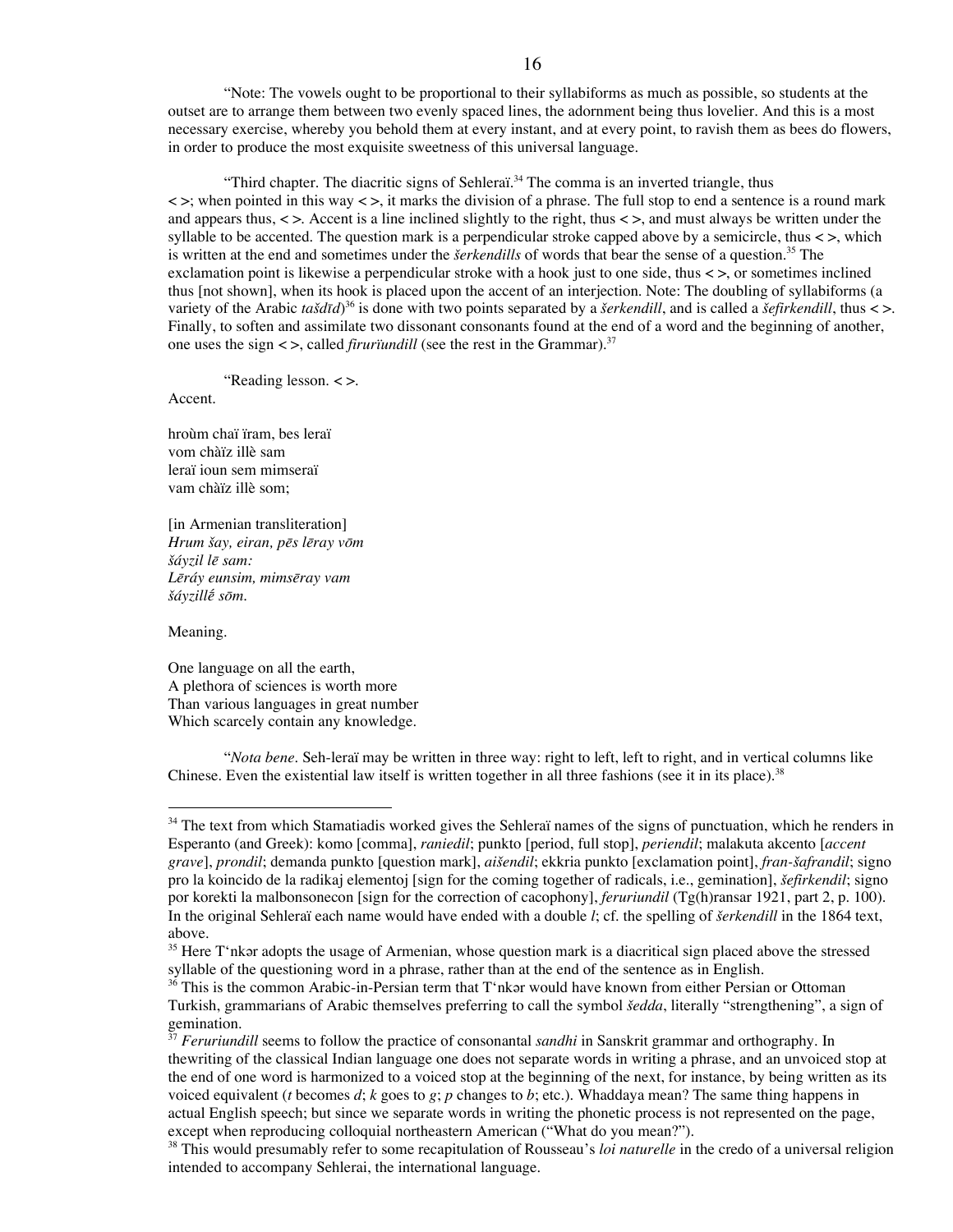"Note: The vowels ought to be proportional to their syllabiforms as much as possible, so students at the outset are to arrange them between two evenly spaced lines, the adornment being thus lovelier. And this is a most necessary exercise, whereby you behold them at every instant, and at every point, to ravish them as bees do flowers, in order to produce the most exquisite sweetness of this universal language.

"Third chapter. The diacritic signs of Sehleraï.<sup>34</sup> The comma is an inverted triangle, thus  $\leq$   $\geq$ ; when pointed in this way  $\leq$   $\geq$ , it marks the division of a phrase. The full stop to end a sentence is a round mark and appears thus,  $\langle \rangle$ . Accent is a line inclined slightly to the right, thus  $\langle \rangle$ , and must always be written under the syllable to be accented. The question mark is a perpendicular stroke capped above by a semicircle, thus  $\lt$  >, which is written at the end and sometimes under the *šerkendills* of words that bear the sense of a question. <sup>35</sup> The exclamation point is likewise a perpendicular stroke with a hook just to one side, thus < >, or sometimes inclined thus [not shown], when its hook is placed upon the accent of an interjection. Note: The doubling of syllabiforms (a variety of the Arabic *tašdīd*) <sup>36</sup> is done with two points separated by a *šerkendill*, and is called a *šefirkendill*, thus < >. Finally, to soften and assimilate two dissonant consonants found at the end of a word and the beginning of another, one uses the sign  $\lt$ , called *firuriundill* (see the rest in the Grammar).<sup>37</sup>

"Reading lesson. < >.

Accent.

hroùm chaï ïram, bes leraï vom chàïz illè sam leraï ioun sem mimseraï vam chàïz illè som;

[in Armenian transliteration] *Hrum šay, eiran, pēs lēray vōm šáyzil lē sam: Lēráy eunsim, mimsēray vam šáyzillḗ sōm*.

Meaning.

One language on all the earth, A plethora of sciences is worth more Than various languages in great number Which scarcely contain any knowledge.

"*Nota bene*. Seh-leraï may be written in three way: right to left, left to right, and in vertical columns like Chinese. Even the existential law itself is written together in all three fashions (see it in its place).<sup>38</sup>

<sup>&</sup>lt;sup>34</sup> The text from which Stamatiadis worked gives the Sehleraï names of the signs of punctuation, which he renders in Esperanto (and Greek): komo [comma], *raniedil*; punkto [period, full stop], *periendil*; malakuta akcento [*accent grave*], *prondil*; demanda punkto [question mark], *aišendil*; ekkria punkto [exclamation point], *fran-šafrandil*; signo pro la koincido de la radikaj elementoj [sign for the coming together of radicals, i.e., gemination], *šefirkendil*; signo por korekti la malbonsonecon [sign for the correction of cacophony], *feruriundil* (Tg(h)ransar 1921, part 2, p. 100). In the original Sehleraï each name would have ended with a double *l*; cf. the spelling of *šerkendill* in the 1864 text, above.

<sup>&</sup>lt;sup>35</sup> Here T'nkǝr adopts the usage of Armenian, whose question mark is a diacritical sign placed above the stressed syllable of the questioning word in a phrase, rather than at the end of the sentence as in English.

<sup>&</sup>lt;sup>36</sup> This is the common Arabic-in-Persian term that T'nkǝr would have known from either Persian or Ottoman Turkish, grammarians of Arabic themselves preferring to call the symbol *šedda*, literally "strengthening", a sign of gemination.

<sup>&</sup>lt;sup>37</sup> *Feruriundill* seems to follow the practice of consonantal *sandhi* in Sanskrit grammar and orthography. In thewriting of the classical Indian language one does not separate words in writing a phrase, and an unvoiced stop at the end of one word is harmonized to a voiced stop at the beginning of the next, for instance, by being written as its voiced equivalent (*t* becomes *d*; *k* goes to *g*; *p* changes to *b*; etc.). Whaddaya mean? The same thing happens in actual English speech; but since we separate words in writing the phonetic process is not represented on the page, except when reproducing colloquial northeastern American ("What do you mean?").

<sup>38</sup> This would presumably refer to some recapitulation of Rousseau's *loi naturelle* in the credo of a universal religion intended to accompany Sehlerai, the international language.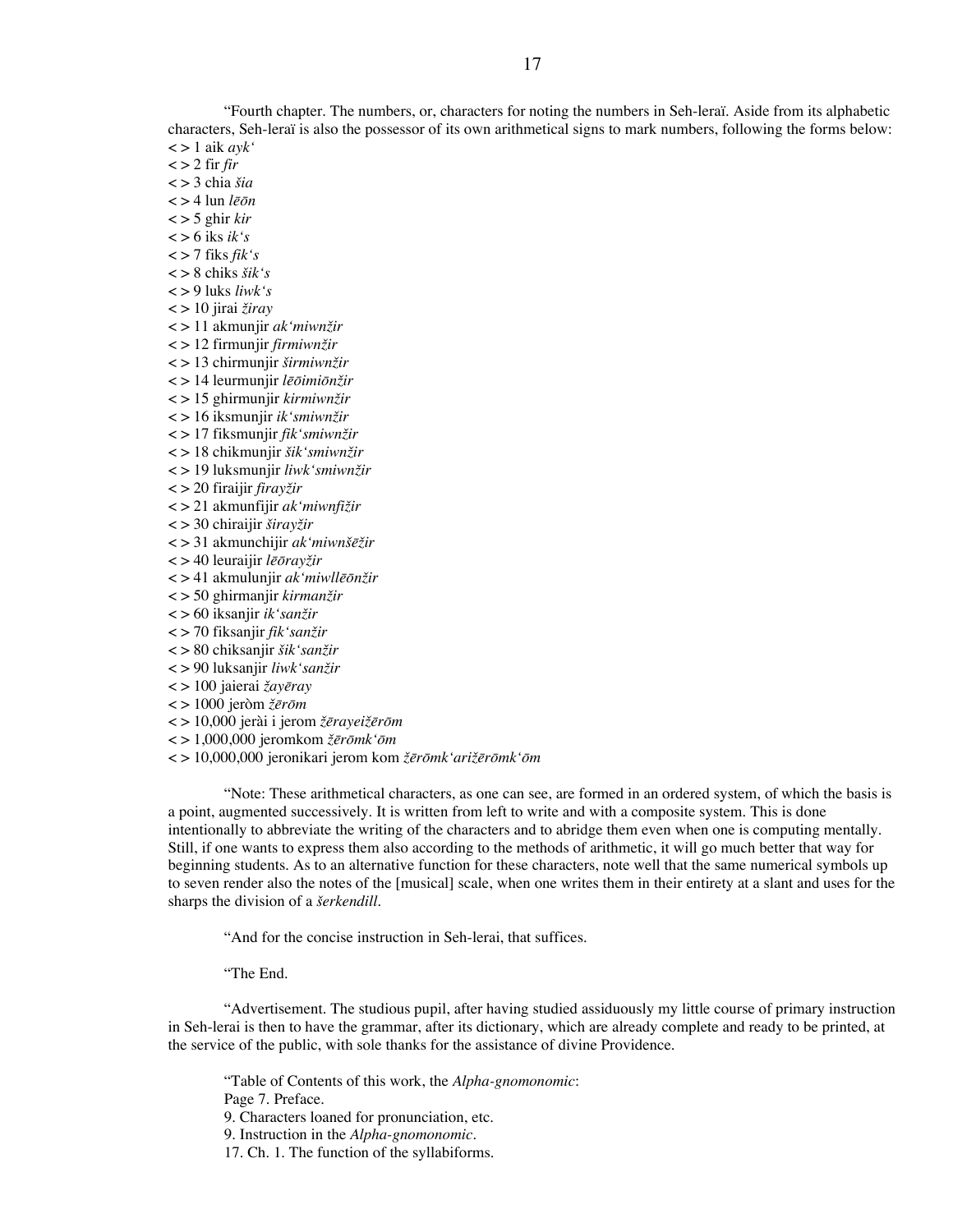"Fourth chapter. The numbers, or, characters for noting the numbers in Seh-leraï. Aside from its alphabetic characters, Seh-leraï is also the possessor of its own arithmetical signs to mark numbers, following the forms below: < > 1 aik *ayk'*

 $\langle$  > 2 fir *fir* 

< > 3 chia *šia*

< > 4 lun *lēōn*

< > 5 ghir *kir*

 $\lt$  > 6 iks *ik's* 

 $\langle$  > 7 fiks *fik*<sup>'</sup>*s* 

< > 8 chiks *šik's*

< > 9 luks *liwk's*

< > 10 jirai *žiray*

< > 11 akmunjir *ak'miwnžir*

< > 12 firmunjir *firmiwnžir*

< > 13 chirmunjir *širmiwnžir*

< > 14 leurmunjir *lēōimiōnžir*

< > 15 ghirmunjir *kirmiwnžir*

< > 16 iksmunjir *ik'smiwnžir*

< > 17 fiksmunjir *fik'smiwnžir*

< > 18 chikmunjir *šik'smiwnžir* < > 19 luksmunjir *liwk'smiwnžir*

< > 20 firaijir *firayžir*

< > 21 akmunfijir *ak'miwnfižir*

< > 30 chiraijir *širayžir*

< > 31 akmunchijir *ak'miwnšēžir*

< > 40 leuraijir *lēōrayžir*

< > 41 akmulunjir *ak'miwllēōnžir*

< > 50 ghirmanjir *kirmanžir*

< > 60 iksanjir *ik'sanžir*

< > 70 fiksanjir *fik'sanžir*

< > 80 chiksanjir *šik'sanžir*

< > 90 luksanjir *liwk'sanžir*

< > 100 jaierai *žayēray*

< > 1000 jeròm *žērōm*

< > 10,000 jerài i jerom *žērayeižērōm*

< > 1,000,000 jeromkom *žērōmk'ōm*

< > 10,000,000 jeronikari jerom kom *žērōmk'arižērōmk'ōm*

"Note: These arithmetical characters, as one can see, are formed in an ordered system, of which the basis is a point, augmented successively. It is written from left to write and with a composite system. This is done intentionally to abbreviate the writing of the characters and to abridge them even when one is computing mentally. Still, if one wants to express them also according to the methods of arithmetic, it will go much better that way for beginning students. As to an alternative function for these characters, note well that the same numerical symbols up to seven render also the notes of the [musical] scale, when one writes them in their entirety at a slant and uses for the sharps the division of a *šerkendill*.

"And for the concise instruction in Seh-lerai, that suffices.

"The End.

"Advertisement. The studious pupil, after having studied assiduously my little course of primary instruction in Seh-lerai is then to have the grammar, after its dictionary, which are already complete and ready to be printed, at the service of the public, with sole thanks for the assistance of divine Providence.

"Table of Contents of this work, the *Alpha-gnomonomic*: Page 7. Preface.

9. Characters loaned for pronunciation, etc.

9. Instruction in the *Alpha-gnomonomic.*

17. Ch. 1. The function of the syllabiforms.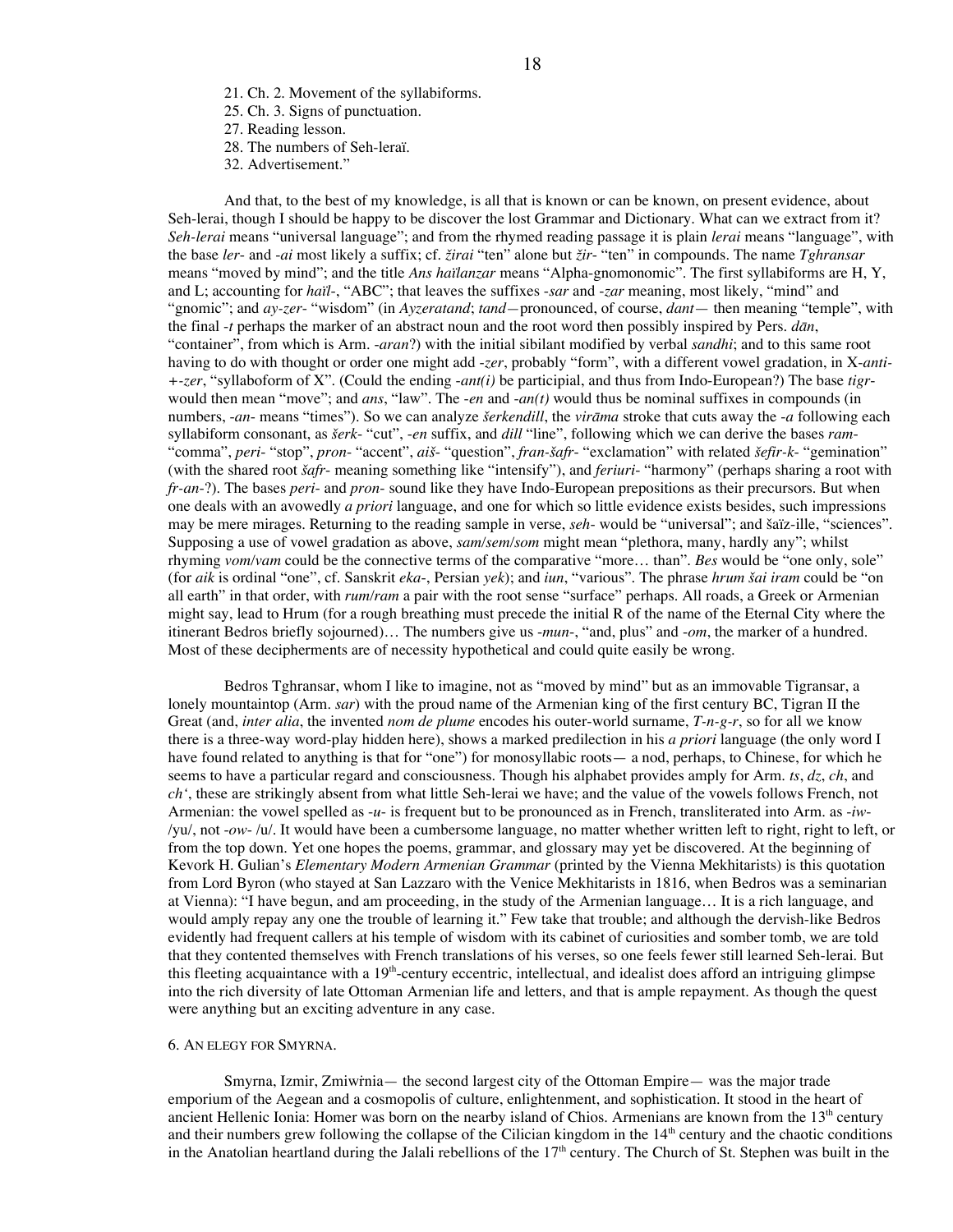- 21. Ch. 2. Movement of the syllabiforms.
- 25. Ch. 3. Signs of punctuation.
- 27. Reading lesson.
- 28. The numbers of Seh-leraï.
- 32. Advertisement."

And that, to the best of my knowledge, is all that is known or can be known, on present evidence, about Seh-lerai, though I should be happy to be discover the lost Grammar and Dictionary. What can we extract from it? *Seh-lerai* means "universal language"; and from the rhymed reading passage it is plain *lerai* means "language", with the base *ler*- and -*ai* most likely a suffix; cf. *žirai* "ten" alone but *žir*- "ten" in compounds. The name *Tghransar* means "moved by mind"; and the title *Ans haïlanzar* means "Alpha-gnomonomic". The first syllabiforms are H, Y, and L; accounting for *haïl*-, "ABC"; that leaves the suffixes -*sar* and -*zar* meaning, most likely, "mind" and "gnomic"; and *ay-zer*- "wisdom" (in *Ayzeratand*; *tand—*pronounced, of course, *dant*— then meaning "temple", with the final -*t* perhaps the marker of an abstract noun and the root word then possibly inspired by Pers. *dān*, "container", from which is Arm. -*aran*?) with the initial sibilant modified by verbal *sandhi*; and to this same root having to do with thought or order one might add -*zer*, probably "form", with a different vowel gradation, in X-*anti- +-zer*, "syllaboform of X". (Could the ending -*ant(i)* be participial, and thus from Indo-European?) The base *tigr*would then mean "move"; and *ans*, "law". The -*en* and -*an(t)* would thus be nominal suffixes in compounds (in numbers, -*an*- means "times"). So we can analyze *šerkendill*, the *virāma* stroke that cuts away the -*a* following each syllabiform consonant, as *šerk*- "cut", -*en* suffix, and *dill* "line", following which we can derive the bases *ram*- "comma", *peri*- "stop", *pron*- "accent", *aiš*- "question", *fran-šafr*- "exclamation" with related *šefir-k*- "gemination" (with the shared root *šafr*- meaning something like "intensify"), and *feriuri*- "harmony" (perhaps sharing a root with *fr-an*-?). The bases *peri*- and *pron*- sound like they have Indo-European prepositions as their precursors. But when one deals with an avowedly *a priori* language, and one for which so little evidence exists besides, such impressions may be mere mirages. Returning to the reading sample in verse, *seh*- would be "universal"; and šaïz-ille, "sciences". Supposing a use of vowel gradation as above, *sam/sem/som* might mean "plethora, many, hardly any"; whilst rhyming *vom/vam* could be the connective terms of the comparative "more… than". *Bes* would be "one only, sole" (for *aik* is ordinal "one", cf. Sanskrit *eka*-, Persian *yek*); and *iun*, "various". The phrase *hrum šai iram* could be "on all earth" in that order, with *rum/ram* a pair with the root sense "surface" perhaps. All roads, a Greek or Armenian might say, lead to Hrum (for a rough breathing must precede the initial R of the name of the Eternal City where the itinerant Bedros briefly sojourned)… The numbers give us -*mun*-, "and, plus" and -*om*, the marker of a hundred. Most of these decipherments are of necessity hypothetical and could quite easily be wrong.

Bedros Tghransar, whom I like to imagine, not as "moved by mind" but as an immovable Tigransar, a lonely mountaintop (Arm. *sar*) with the proud name of the Armenian king of the first century BC, Tigran II the Great (and, *inter alia*, the invented *nom de plume* encodes his outer-world surname, *T-n-g-r*, so for all we know there is a three-way word-play hidden here), shows a marked predilection in his *a priori* language (the only word I have found related to anything is that for "one") for monosyllabic roots— a nod, perhaps, to Chinese, for which he seems to have a particular regard and consciousness. Though his alphabet provides amply for Arm. *ts*, *dz*, *ch*, and *ch'*, these are strikingly absent from what little Seh-lerai we have; and the value of the vowels follows French, not Armenian: the vowel spelled as -*u*- is frequent but to be pronounced as in French, transliterated into Arm. as -*iw*- /yu/, not -*ow*- /u/. It would have been a cumbersome language, no matter whether written left to right, right to left, or from the top down. Yet one hopes the poems, grammar, and glossary may yet be discovered. At the beginning of Kevork H. Gulian's *Elementary Modern Armenian Grammar* (printed by the Vienna Mekhitarists) is this quotation from Lord Byron (who stayed at San Lazzaro with the Venice Mekhitarists in 1816, when Bedros was a seminarian at Vienna): "I have begun, and am proceeding, in the study of the Armenian language… It is a rich language, and would amply repay any one the trouble of learning it." Few take that trouble; and although the dervish-like Bedros evidently had frequent callers at his temple of wisdom with its cabinet of curiosities and somber tomb, we are told that they contented themselves with French translations of his verses, so one feels fewer still learned Seh-lerai. But this fleeting acquaintance with a 19<sup>th</sup>-century eccentric, intellectual, and idealist does afford an intriguing glimpse into the rich diversity of late Ottoman Armenian life and letters, and that is ample repayment. As though the quest were anything but an exciting adventure in any case.

#### 6. AN ELEGY FOR SMYRNA.

Smyrna, Izmir, Zmiwṙnia— the second largest city of the Ottoman Empire— was the major trade emporium of the Aegean and a cosmopolis of culture, enlightenment, and sophistication. It stood in the heart of ancient Hellenic Ionia: Homer was born on the nearby island of Chios. Armenians are known from the 13<sup>th</sup> century and their numbers grew following the collapse of the Cilician kingdom in the  $14<sup>th</sup>$  century and the chaotic conditions in the Anatolian heartland during the Jalali rebellions of the  $17<sup>th</sup>$  century. The Church of St. Stephen was built in the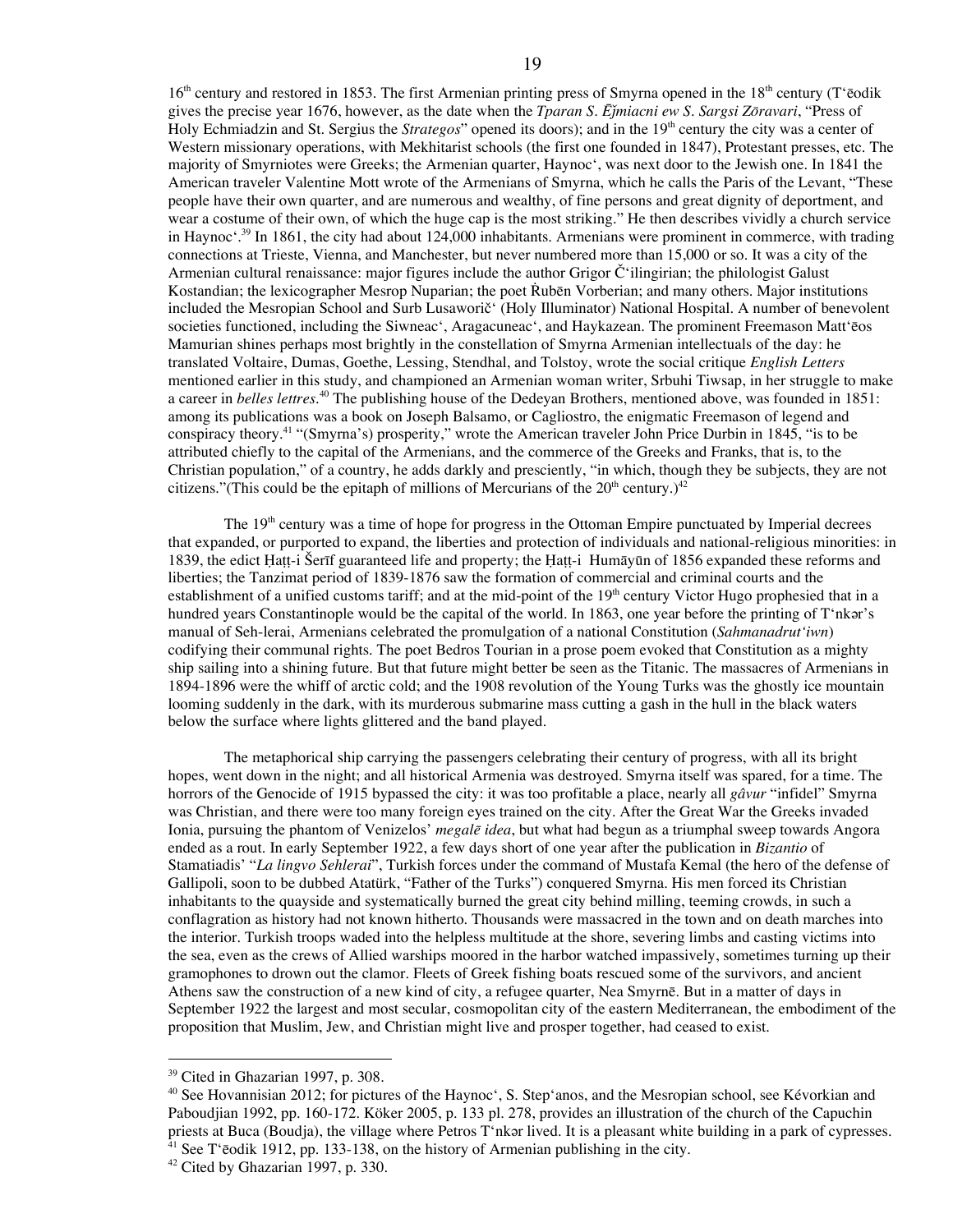$16<sup>th</sup>$  century and restored in 1853. The first Armenian printing press of Smyrna opened in the  $18<sup>th</sup>$  century (T'ēodik gives the precise year 1676, however, as the date when the *Tparan S. Ēǰmiacni ew S. Sargsi Zōravari*, "Press of Holy Echmiadzin and St. Sergius the *Strategos*" opened its doors); and in the 19<sup>th</sup> century the city was a center of Western missionary operations, with Mekhitarist schools (the first one founded in 1847), Protestant presses, etc. The majority of Smyrniotes were Greeks; the Armenian quarter, Haynoc', was next door to the Jewish one. In 1841 the American traveler Valentine Mott wrote of the Armenians of Smyrna, which he calls the Paris of the Levant, "These people have their own quarter, and are numerous and wealthy, of fine persons and great dignity of deportment, and wear a costume of their own, of which the huge cap is the most striking." He then describes vividly a church service in Haynoc'. <sup>39</sup> In 1861, the city had about 124,000 inhabitants. Armenians were prominent in commerce, with trading connections at Trieste, Vienna, and Manchester, but never numbered more than 15,000 or so. It was a city of the Armenian cultural renaissance: major figures include the author Grigor Č'ilingirian; the philologist Galust Kostandian; the lexicographer Mesrop Nuparian; the poet Rubēn Vorberian; and many others. Major institutions included the Mesropian School and Surb Lusaworič' (Holy Illuminator) National Hospital. A number of benevolent societies functioned, including the Siwneac', Aragacuneac', and Haykazean. The prominent Freemason Matt'ēos Mamurian shines perhaps most brightly in the constellation of Smyrna Armenian intellectuals of the day: he translated Voltaire, Dumas, Goethe, Lessing, Stendhal, and Tolstoy, wrote the social critique *English Letters*

a career in *belles lettres*. <sup>40</sup> The publishing house of the Dedeyan Brothers, mentioned above, was founded in 1851: among its publications was a book on Joseph Balsamo, or Cagliostro, the enigmatic Freemason of legend and conspiracy theory. <sup>41</sup> "(Smyrna's) prosperity," wrote the American traveler John Price Durbin in 1845, "is to be attributed chiefly to the capital of the Armenians, and the commerce of the Greeks and Franks, that is, to the Christian population," of a country, he adds darkly and presciently, "in which, though they be subjects, they are not citizens."(This could be the epitaph of millions of Mercurians of the  $20<sup>th</sup>$  century.)<sup>42</sup>

mentioned earlier in this study, and championed an Armenian woman writer, Srbuhi Tiwsap, in her struggle to make

The 19<sup>th</sup> century was a time of hope for progress in the Ottoman Empire punctuated by Imperial decrees that expanded, or purported to expand, the liberties and protection of individuals and national-religious minorities: in 1839, the edict Ḥaṭṭ-i Šerīf guaranteed life and property; the Ḥaṭṭ-i Humāyūn of 1856 expanded these reforms and liberties; the Tanzimat period of 1839-1876 saw the formation of commercial and criminal courts and the establishment of a unified customs tariff; and at the mid-point of the  $19<sup>th</sup>$  century Victor Hugo prophesied that in a hundred years Constantinople would be the capital of the world. In 1863, one year before the printing of T'nkǝr's manual of Seh-lerai, Armenians celebrated the promulgation of a national Constitution (*Sahmanadrut'iwn*) codifying their communal rights. The poet Bedros Tourian in a prose poem evoked that Constitution as a mighty ship sailing into a shining future. But that future might better be seen as the Titanic. The massacres of Armenians in 1894-1896 were the whiff of arctic cold; and the 1908 revolution of the Young Turks was the ghostly ice mountain looming suddenly in the dark, with its murderous submarine mass cutting a gash in the hull in the black waters below the surface where lights glittered and the band played.

The metaphorical ship carrying the passengers celebrating their century of progress, with all its bright hopes, went down in the night; and all historical Armenia was destroyed. Smyrna itself was spared, for a time. The horrors of the Genocide of 1915 bypassed the city: it was too profitable a place, nearly all *gâvur* "infidel" Smyrna was Christian, and there were too many foreign eyes trained on the city. After the Great War the Greeks invaded Ionia, pursuing the phantom of Venizelos' *megalē idea*, but what had begun as a triumphal sweep towards Angora ended as a rout. In early September 1922, a few days short of one year after the publication in *Bizantio* of Stamatiadis' "*La lingvo Sehlerai*", Turkish forces under the command of Mustafa Kemal (the hero of the defense of Gallipoli, soon to be dubbed Atatürk, "Father of the Turks") conquered Smyrna. His men forced its Christian inhabitants to the quayside and systematically burned the great city behind milling, teeming crowds, in such a conflagration as history had not known hitherto. Thousands were massacred in the town and on death marches into the interior. Turkish troops waded into the helpless multitude at the shore, severing limbs and casting victims into the sea, even as the crews of Allied warships moored in the harbor watched impassively, sometimes turning up their gramophones to drown out the clamor. Fleets of Greek fishing boats rescued some of the survivors, and ancient Athens saw the construction of a new kind of city, a refugee quarter, Nea Smyrnē. But in a matter of days in September 1922 the largest and most secular, cosmopolitan city of the eastern Mediterranean, the embodiment of the proposition that Muslim, Jew, and Christian might live and prosper together, had ceased to exist.

<sup>&</sup>lt;sup>39</sup> Cited in Ghazarian 1997, p. 308.

<sup>&</sup>lt;sup>40</sup> See Hovannisian 2012; for pictures of the Haynoc', S. Step'anos, and the Mesropian school, see Kévorkian and Paboudjian 1992, pp. 160-172. Köker 2005, p. 133 pl. 278, provides an illustration of the church of the Capuchin priests at Buca (Boudja), the village where Petros T'nkǝr lived. It is a pleasant white building in a park of cypresses.  $41$  See T'ēodik 1912, pp. 133-138, on the history of Armenian publishing in the city.

<sup>&</sup>lt;sup>42</sup> Cited by Ghazarian 1997, p. 330.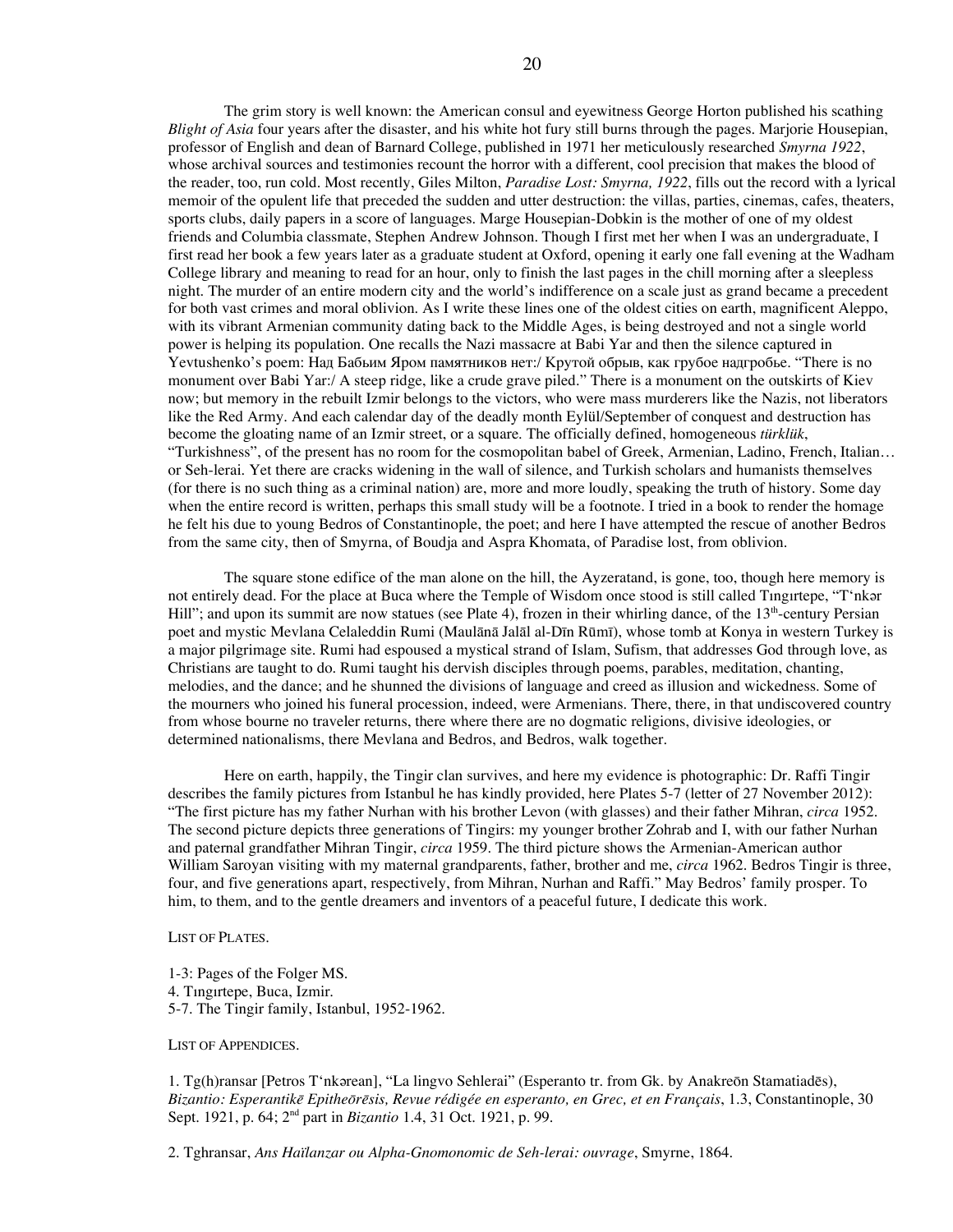The grim story is well known: the American consul and eyewitness George Horton published his scathing *Blight of Asia* four years after the disaster, and his white hot fury still burns through the pages. Marjorie Housepian, professor of English and dean of Barnard College, published in 1971 her meticulously researched *Smyrna 1922*, whose archival sources and testimonies recount the horror with a different, cool precision that makes the blood of the reader, too, run cold. Most recently, Giles Milton, *Paradise Lost: Smyrna, 1922*, fills out the record with a lyrical memoir of the opulent life that preceded the sudden and utter destruction: the villas, parties, cinemas, cafes, theaters, sports clubs, daily papers in a score of languages. Marge Housepian-Dobkin is the mother of one of my oldest friends and Columbia classmate, Stephen Andrew Johnson. Though I first met her when I was an undergraduate, I first read her book a few years later as a graduate student at Oxford, opening it early one fall evening at the Wadham College library and meaning to read for an hour, only to finish the last pages in the chill morning after a sleepless night. The murder of an entire modern city and the world's indifference on a scale just as grand became a precedent for both vast crimes and moral oblivion. As I write these lines one of the oldest cities on earth, magnificent Aleppo, with its vibrant Armenian community dating back to the Middle Ages, is being destroyed and not a single world power is helping its population. One recalls the Nazi massacre at Babi Yar and then the silence captured in Yevtushenko's poem: Над Бабьим Яром памятников нет:/ Крутой обрыв, как грубое надгробье. "There is no monument over Babi Yar:/ A steep ridge, like a crude grave piled." There is a monument on the outskirts of Kiev now; but memory in the rebuilt Izmir belongs to the victors, who were mass murderers like the Nazis, not liberators like the Red Army. And each calendar day of the deadly month Eylül/September of conquest and destruction has become the gloating name of an Izmir street, or a square. The officially defined, homogeneous *türklük*, "Turkishness", of the present has no room for the cosmopolitan babel of Greek, Armenian, Ladino, French, Italian… or Seh-lerai. Yet there are cracks widening in the wall of silence, and Turkish scholars and humanists themselves (for there is no such thing as a criminal nation) are, more and more loudly, speaking the truth of history. Some day when the entire record is written, perhaps this small study will be a footnote. I tried in a book to render the homage he felt his due to young Bedros of Constantinople, the poet; and here I have attempted the rescue of another Bedros from the same city, then of Smyrna, of Boudja and Aspra Khomata, of Paradise lost, from oblivion.

The square stone edifice of the man alone on the hill, the Ayzeratand, is gone, too, though here memory is not entirely dead. For the place at Buca where the Temple of Wisdom once stood is still called Tingirtepe, "T'nkǝr Hill"; and upon its summit are now statues (see Plate 4), frozen in their whirling dance, of the 13<sup>th</sup>-century Persian poet and mystic Mevlana Celaleddin Rumi (Maulānā Jalāl al-Dīn Rūmī), whose tomb at Konya in western Turkey is a major pilgrimage site. Rumi had espoused a mystical strand of Islam, Sufism, that addresses God through love, as Christians are taught to do. Rumi taught his dervish disciples through poems, parables, meditation, chanting, melodies, and the dance; and he shunned the divisions of language and creed as illusion and wickedness. Some of the mourners who joined his funeral procession, indeed, were Armenians. There, there, in that undiscovered country from whose bourne no traveler returns, there where there are no dogmatic religions, divisive ideologies, or determined nationalisms, there Mevlana and Bedros, and Bedros, walk together.

Here on earth, happily, the Tingir clan survives, and here my evidence is photographic: Dr. Raffi Tingir describes the family pictures from Istanbul he has kindly provided, here Plates 5-7 (letter of 27 November 2012): "The first picture has my father Nurhan with his brother Levon (with glasses) and their father Mihran, *circa* 1952. The second picture depicts three generations of Tingirs: my younger brother Zohrab and I, with our father Nurhan and paternal grandfather Mihran Tingir, *circa* 1959. The third picture shows the Armenian-American author William Saroyan visiting with my maternal grandparents, father, brother and me, *circa* 1962. Bedros Tingir is three, four, and five generations apart, respectively, from Mihran, Nurhan and Raffi." May Bedros' family prosper. To him, to them, and to the gentle dreamers and inventors of a peaceful future, I dedicate this work.

LIST OF PLATES.

1-3: Pages of the Folger MS. 4. Tıngırtepe, Buca, Izmir. 5-7. The Tingir family, Istanbul, 1952-1962.

LIST OF APPENDICES.

1. Tg(h)ransar [Petros T'nkǝrean], "La lingvo Sehlerai" (Esperanto tr. from Gk. by Anakreōn Stamatiadēs), Bizantio: Esperantikē Epitheōrēsis, Revue rédigée en esperanto, en Grec, et en Français, 1.3, Constantinople, 30 Sept. 1921, p. 64; 2nd part in *Bizantio* 1.4, 31 Oct. 1921, p. 99.

2. Tghransar, *Ans Haïlanzar ou Alpha-Gnomonomic de Seh-lerai: ouvrage*, Smyrne, 1864.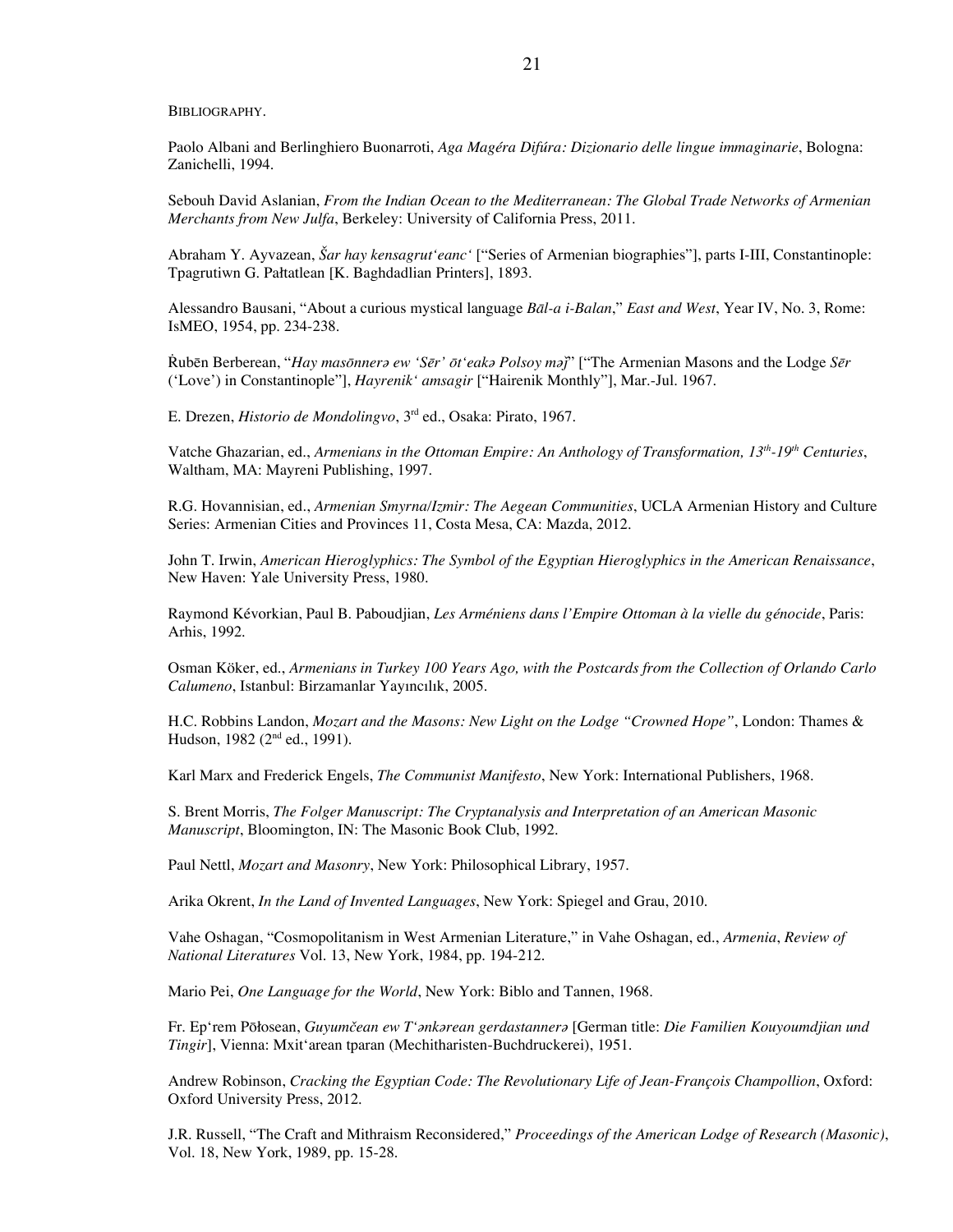BIBLIOGRAPHY.

Paolo Albani and Berlinghiero Buonarroti, *Aga Magéra Difúra: Dizionario delle lingue immaginarie*, Bologna: Zanichelli, 1994.

Sebouh David Aslanian, *From the Indian Ocean to the Mediterranean: The Global Trade Networks of Armenian Merchants from New Julfa*, Berkeley: University of California Press, 2011.

Abraham Y. Ayvazean, *Šar hay kensagrut'eanc'* ["Series of Armenian biographies"], parts I-III, Constantinople: Tpagrutiwn G. Pałtatlean [K. Baghdadlian Printers], 1893.

Alessandro Bausani, "About a curious mystical language *Bāl-a i-Balan*," *East and West*, Year IV, No. 3, Rome: IsMEO, 1954, pp. 234-238.

Rubēn Berberean, "Hay masonnera ew 'Ser' ot eaka Polsoy maj" ["The Armenian Masons and the Lodge Ser ('Love') in Constantinople"], *Hayrenik' amsagir* ["Hairenik Monthly"], Mar.-Jul. 1967.

E. Drezen, *Historio de Mondolingvo*, 3rd ed., Osaka: Pirato, 1967.

Vatche Ghazarian, ed., *Armenians in the Ottoman Empire: An Anthology of Transformation, 13th -19th Centuries*, Waltham, MA: Mayreni Publishing, 1997.

R.G. Hovannisian, ed., *Armenian Smyrna/Izmir: The Aegean Communities*, UCLA Armenian History and Culture Series: Armenian Cities and Provinces 11, Costa Mesa, CA: Mazda, 2012.

John T. Irwin, *American Hieroglyphics: The Symbol of the Egyptian Hieroglyphics in the American Renaissance*, New Haven: Yale University Press, 1980.

Raymond Kévorkian, Paul B. Paboudjian, *Les Arméniens dans l'Empire Ottoman à la vielle du génocide*, Paris: Arhis, 1992.

Osman Köker, ed., *Armenians in Turkey 100 Years Ago, with the Postcards from the Collection of Orlando Carlo Calumeno*, Istanbul: Birzamanlar Yayıncılık, 2005.

H.C. Robbins Landon, *Mozart and the Masons: New Light on the Lodge "Crowned Hope"*, London: Thames & Hudson, 1982 (2<sup>nd</sup> ed., 1991).

Karl Marx and Frederick Engels, *The Communist Manifesto*, New York: International Publishers, 1968.

S. Brent Morris, *The Folger Manuscript: The Cryptanalysis and Interpretation of an American Masonic Manuscript*, Bloomington, IN: The Masonic Book Club, 1992.

Paul Nettl, *Mozart and Masonry*, New York: Philosophical Library, 1957.

Arika Okrent, *In the Land of Invented Languages*, New York: Spiegel and Grau, 2010.

Vahe Oshagan, "Cosmopolitanism in West Armenian Literature," in Vahe Oshagan, ed., *Armenia*, *Review of National Literatures* Vol. 13, New York, 1984, pp. 194-212.

Mario Pei, *One Language for the World*, New York: Biblo and Tannen, 1968.

Fr. Ep'rem Pōłosean, *Guyumčean ew T'ǝnkǝrean gerdastannerǝ* [German title: *Die Familien Kouyoumdjian und Tingir*], Vienna: Mxit'arean tparan (Mechitharisten-Buchdruckerei), 1951.

Andrew Robinson, *Cracking the Egyptian Code: The Revolutionary Life of Jean-François Champollion*, Oxford: Oxford University Press, 2012.

J.R. Russell, "The Craft and Mithraism Reconsidered," *Proceedings of the American Lodge of Research (Masonic)*, Vol. 18, New York, 1989, pp. 15-28.